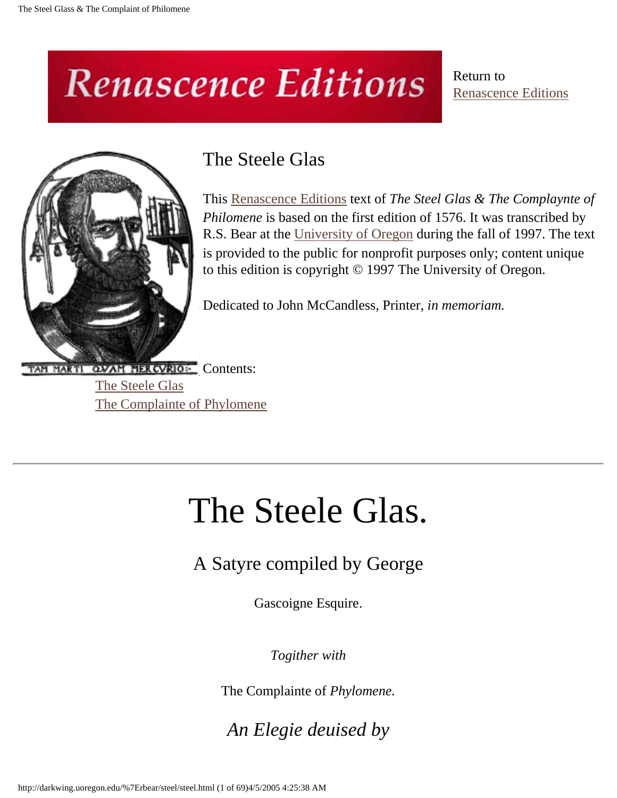# **Renascence Editions**

Return to [Renascence Editions](http://darkwing.uoregon.edu/~rbear/ren.htm)



## The Steele Glas

This [Renascence Editions](http://darkwing.uoregon.edu/~rbear/ren.htm) text of *The Steel Glas & The Complaynte of Philomene* is based on the first edition of 1576. It was transcribed by R.S. Bear at the [University of Oregon](http://www.uoregon.edu/) during the fall of 1997. The text is provided to the public for nonprofit purposes only; content unique to this edition is copyright © 1997 The University of Oregon.

Dedicated to John McCandless, Printer, *in memoriam.*

<span id="page-0-0"></span>TAM MARTI QVAM MERCVRIO: Contents: [The Steele Glas](#page-0-0) [The Complainte of Phylomene](#page-36-0)

# The Steele Glas.

A Satyre compiled by George

Gascoigne Esquire.

*Togither with*

The Complainte of *Phylomene.*

*An Elegie deuised by*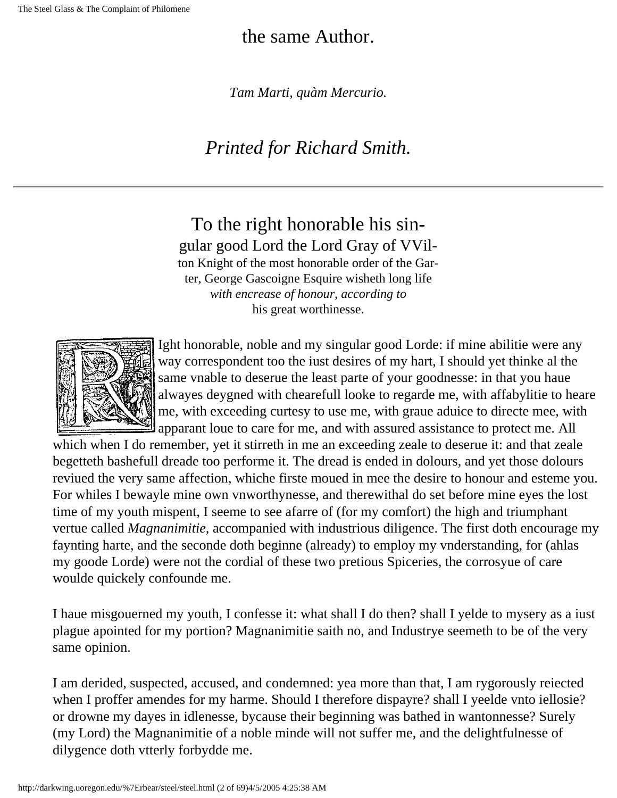#### the same Author.

*Tam Marti, quàm Mercurio.*

## *Printed for Richard Smith.*

To the right honorable his singular good Lord the Lord Gray of VVilton Knight of the most honorable order of the Garter, George Gascoigne Esquire wisheth long life *with encrease of honour, according to* his great worthinesse.



Ight honorable, noble and my singular good Lorde: if mine abilitie were any way correspondent too the iust desires of my hart, I should yet thinke al the same vnable to deserue the least parte of your goodnesse: in that you haue alwayes deygned with chearefull looke to regarde me, with affabylitie to heare me, with exceeding curtesy to use me, with graue aduice to directe mee, with apparant loue to care for me, and with assured assistance to protect me. All

which when I do remember, yet it stirreth in me an exceeding zeale to deserue it: and that zeale begetteth bashefull dreade too performe it. The dread is ended in dolours, and yet those dolours reviued the very same affection, whiche firste moued in mee the desire to honour and esteme you. For whiles I bewayle mine own vnworthynesse, and therewithal do set before mine eyes the lost time of my youth mispent, I seeme to see afarre of (for my comfort) the high and triumphant vertue called *Magnanimitie,* accompanied with industrious diligence. The first doth encourage my faynting harte, and the seconde doth beginne (already) to employ my vnderstanding, for (ahlas my goode Lorde) were not the cordial of these two pretious Spiceries, the corrosyue of care woulde quickely confounde me.

I haue misgouerned my youth, I confesse it: what shall I do then? shall I yelde to mysery as a iust plague apointed for my portion? Magnanimitie saith no, and Industrye seemeth to be of the very same opinion.

I am derided, suspected, accused, and condemned: yea more than that, I am rygorously reiected when I proffer amendes for my harme. Should I therefore dispayre? shall I yeelde vnto iellosie? or drowne my dayes in idlenesse, bycause their beginning was bathed in wantonnesse? Surely (my Lord) the Magnanimitie of a noble minde will not suffer me, and the delightfulnesse of dilygence doth vtterly forbydde me.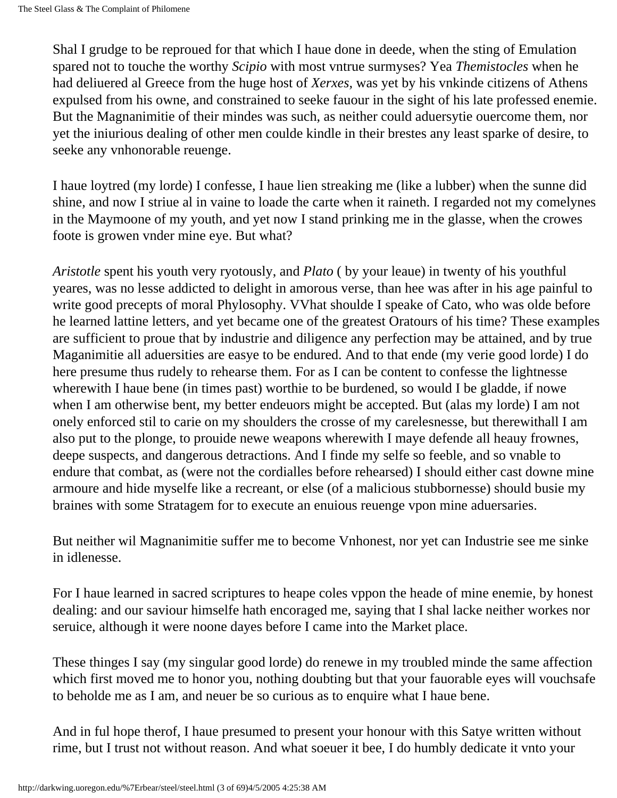Shal I grudge to be reproued for that which I haue done in deede, when the sting of Emulation spared not to touche the worthy *Scipio* with most vntrue surmyses? Yea *Themistocles* when he had deliuered al Greece from the huge host of *Xerxes,* was yet by his vnkinde citizens of Athens expulsed from his owne, and constrained to seeke fauour in the sight of his late professed enemie. But the Magnanimitie of their mindes was such, as neither could aduersytie ouercome them, nor yet the iniurious dealing of other men coulde kindle in their brestes any least sparke of desire, to seeke any vnhonorable reuenge.

I haue loytred (my lorde) I confesse, I haue lien streaking me (like a lubber) when the sunne did shine, and now I striue al in vaine to loade the carte when it raineth. I regarded not my comelynes in the Maymoone of my youth, and yet now I stand prinking me in the glasse, when the crowes foote is growen vnder mine eye. But what?

*Aristotle* spent his youth very ryotously, and *Plato* ( by your leaue) in twenty of his youthful yeares, was no lesse addicted to delight in amorous verse, than hee was after in his age painful to write good precepts of moral Phylosophy. VVhat shoulde I speake of Cato, who was olde before he learned lattine letters, and yet became one of the greatest Oratours of his time? These examples are sufficient to proue that by industrie and diligence any perfection may be attained, and by true Maganimitie all aduersities are easye to be endured. And to that ende (my verie good lorde) I do here presume thus rudely to rehearse them. For as I can be content to confesse the lightnesse wherewith I haue bene (in times past) worthie to be burdened, so would I be gladde, if nowe when I am otherwise bent, my better endeuors might be accepted. But (alas my lorde) I am not onely enforced stil to carie on my shoulders the crosse of my carelesnesse, but therewithall I am also put to the plonge, to prouide newe weapons wherewith I maye defende all heauy frownes, deepe suspects, and dangerous detractions. And I finde my selfe so feeble, and so vnable to endure that combat, as (were not the cordialles before rehearsed) I should either cast downe mine armoure and hide myselfe like a recreant, or else (of a malicious stubbornesse) should busie my braines with some Stratagem for to execute an enuious reuenge vpon mine aduersaries.

But neither wil Magnanimitie suffer me to become Vnhonest, nor yet can Industrie see me sinke in idlenesse.

For I haue learned in sacred scriptures to heape coles vppon the heade of mine enemie, by honest dealing: and our saviour himselfe hath encoraged me, saying that I shal lacke neither workes nor seruice, although it were noone dayes before I came into the Market place.

These thinges I say (my singular good lorde) do renewe in my troubled minde the same affection which first moved me to honor you, nothing doubting but that your fauorable eyes will vouchsafe to beholde me as I am, and neuer be so curious as to enquire what I haue bene.

And in ful hope therof, I haue presumed to present your honour with this Satye written without rime, but I trust not without reason. And what soeuer it bee, I do humbly dedicate it vnto your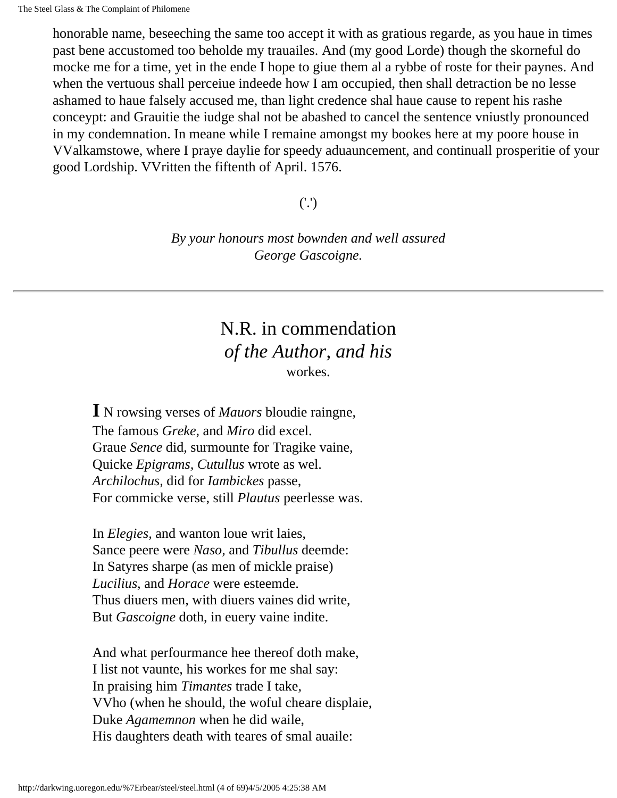honorable name, beseeching the same too accept it with as gratious regarde, as you haue in times past bene accustomed too beholde my trauailes. And (my good Lorde) though the skorneful do mocke me for a time, yet in the ende I hope to giue them al a rybbe of roste for their paynes. And when the vertuous shall perceiue indeede how I am occupied, then shall detraction be no lesse ashamed to haue falsely accused me, than light credence shal haue cause to repent his rashe conceypt: and Grauitie the iudge shal not be abashed to cancel the sentence vniustly pronounced in my condemnation. In meane while I remaine amongst my bookes here at my poore house in VValkamstowe, where I praye daylie for speedy aduauncement, and continuall prosperitie of your good Lordship. VVritten the fiftenth of April. 1576.

('.')

*By your honours most bownden and well assured George Gascoigne.*

#### N.R. in commendation *of the Author, and his* workes.

**I** N rowsing verses of *Mauors* bloudie raingne, The famous *Greke,* and *Miro* did excel. Graue *Sence* did, surmounte for Tragike vaine, Quicke *Epigrams, Cutullus* wrote as wel. *Archilochus,* did for *Iambickes* passe, For commicke verse, still *Plautus* peerlesse was.

In *Elegies,* and wanton loue writ laies, Sance peere were *Naso,* and *Tibullus* deemde: In Satyres sharpe (as men of mickle praise) *Lucilius,* and *Horace* were esteemde. Thus diuers men, with diuers vaines did write, But *Gascoigne* doth, in euery vaine indite.

And what perfourmance hee thereof doth make, I list not vaunte, his workes for me shal say: In praising him *Timantes* trade I take, VVho (when he should, the woful cheare displaie, Duke *Agamemnon* when he did waile, His daughters death with teares of smal auaile: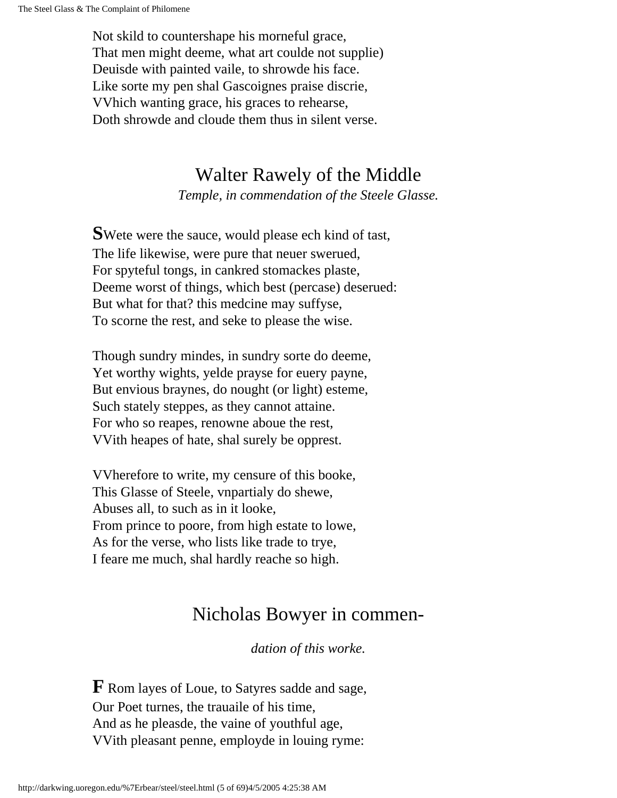Not skild to countershape his morneful grace, That men might deeme, what art coulde not supplie) Deuisde with painted vaile, to shrowde his face. Like sorte my pen shal Gascoignes praise discrie, VVhich wanting grace, his graces to rehearse, Doth shrowde and cloude them thus in silent verse.

### Walter Rawely of the Middle

*Temple, in commendation of the Steele Glasse.*

**S**Wete were the sauce, would please ech kind of tast, The life likewise, were pure that neuer swerued, For spyteful tongs, in cankred stomackes plaste, Deeme worst of things, which best (percase) deserued: But what for that? this medcine may suffyse, To scorne the rest, and seke to please the wise.

Though sundry mindes, in sundry sorte do deeme, Yet worthy wights, yelde prayse for euery payne, But envious braynes, do nought (or light) esteme, Such stately steppes, as they cannot attaine. For who so reapes, renowne aboue the rest, VVith heapes of hate, shal surely be opprest.

VVherefore to write, my censure of this booke, This Glasse of Steele, vnpartialy do shewe, Abuses all, to such as in it looke, From prince to poore, from high estate to lowe, As for the verse, who lists like trade to trye, I feare me much, shal hardly reache so high.

### Nicholas Bowyer in commen-

*dation of this worke.*

**F** Rom layes of Loue, to Satyres sadde and sage, Our Poet turnes, the trauaile of his time, And as he pleasde, the vaine of youthful age, VVith pleasant penne, employde in louing ryme: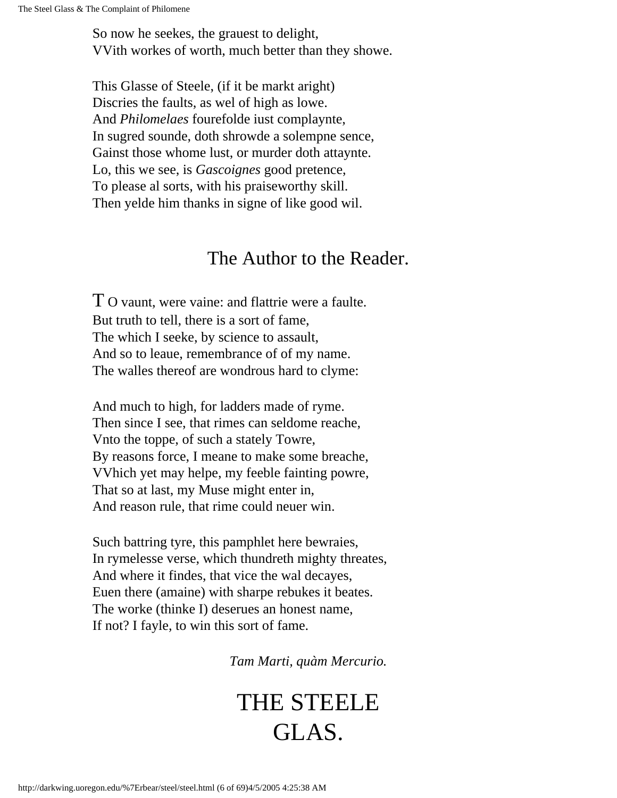So now he seekes, the grauest to delight, VVith workes of worth, much better than they showe.

This Glasse of Steele, (if it be markt aright) Discries the faults, as wel of high as lowe. And *Philomelaes* fourefolde iust complaynte, In sugred sounde, doth shrowde a solempne sence, Gainst those whome lust, or murder doth attaynte. Lo, this we see, is *Gascoignes* good pretence, To please al sorts, with his praiseworthy skill. Then yelde him thanks in signe of like good wil.

#### The Author to the Reader.

T O vaunt, were vaine: and flattrie were a faulte. But truth to tell, there is a sort of fame, The which I seeke, by science to assault, And so to leaue, remembrance of of my name. The walles thereof are wondrous hard to clyme:

And much to high, for ladders made of ryme. Then since I see, that rimes can seldome reache, Vnto the toppe, of such a stately Towre, By reasons force, I meane to make some breache, VVhich yet may helpe, my feeble fainting powre, That so at last, my Muse might enter in, And reason rule, that rime could neuer win.

Such battring tyre, this pamphlet here bewraies, In rymelesse verse, which thundreth mighty threates, And where it findes, that vice the wal decayes, Euen there (amaine) with sharpe rebukes it beates. The worke (thinke I) deserues an honest name, If not? I fayle, to win this sort of fame.

*Tam Marti, quàm Mercurio.*

# THE STEELE GLAS.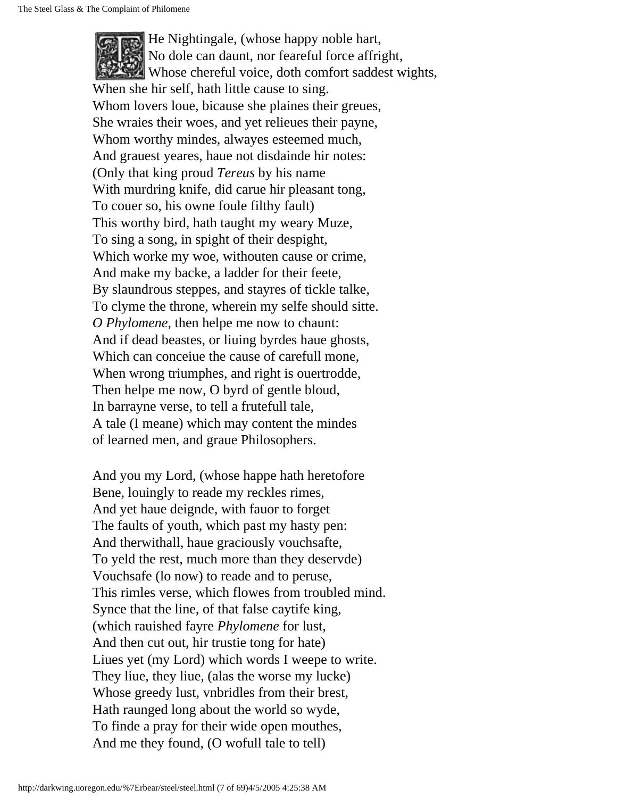He Nightingale, (whose happy noble hart, No dole can daunt, nor feareful force affright, Whose chereful voice, doth comfort saddest wights, When she hir self, hath little cause to sing. Whom lovers loue, bicause she plaines their greues, She wraies their woes, and yet relieues their payne, Whom worthy mindes, alwayes esteemed much, And grauest yeares, haue not disdainde hir notes: (Only that king proud *Tereus* by his name With murdring knife, did carue hir pleasant tong, To couer so, his owne foule filthy fault) This worthy bird, hath taught my weary Muze, To sing a song, in spight of their despight, Which worke my woe, withouten cause or crime, And make my backe, a ladder for their feete, By slaundrous steppes, and stayres of tickle talke, To clyme the throne, wherein my selfe should sitte. *O Phylomene,* then helpe me now to chaunt: And if dead beastes, or liuing byrdes haue ghosts, Which can conceiue the cause of carefull mone, When wrong triumphes, and right is ouertrodde, Then helpe me now, O byrd of gentle bloud, In barrayne verse, to tell a frutefull tale, A tale (I meane) which may content the mindes of learned men, and graue Philosophers.

And you my Lord, (whose happe hath heretofore Bene, louingly to reade my reckles rimes, And yet haue deignde, with fauor to forget The faults of youth, which past my hasty pen: And therwithall, haue graciously vouchsafte, To yeld the rest, much more than they deservde) Vouchsafe (lo now) to reade and to peruse, This rimles verse, which flowes from troubled mind. Synce that the line, of that false caytife king, (which rauished fayre *Phylomene* for lust, And then cut out, hir trustie tong for hate) Liues yet (my Lord) which words I weepe to write. They liue, they liue, (alas the worse my lucke) Whose greedy lust, vnbridles from their brest, Hath raunged long about the world so wyde, To finde a pray for their wide open mouthes, And me they found, (O wofull tale to tell)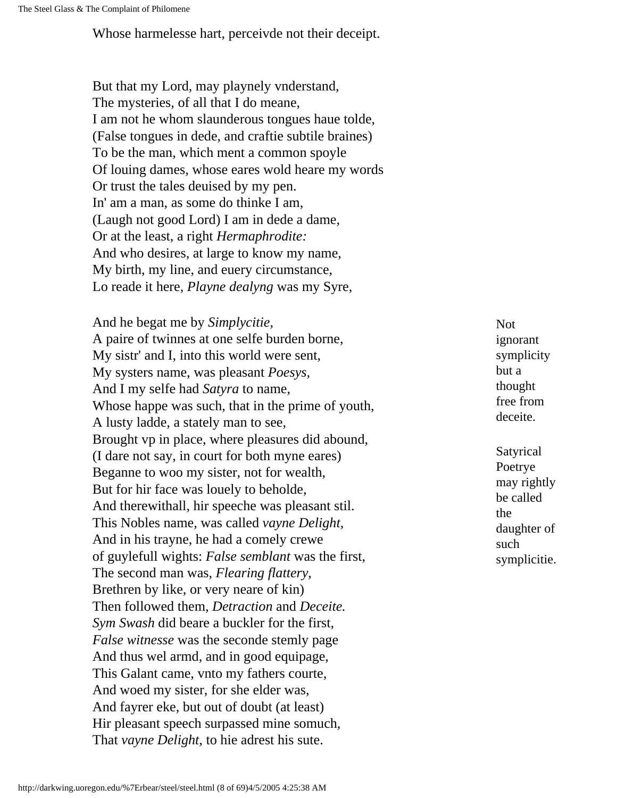Whose harmelesse hart, perceivde not their deceipt.

But that my Lord, may playnely vnderstand, The mysteries, of all that I do meane, I am not he whom slaunderous tongues haue tolde, (False tongues in dede, and craftie subtile braines) To be the man, which ment a common spoyle Of louing dames, whose eares wold heare my words Or trust the tales deuised by my pen. In' am a man, as some do thinke I am, (Laugh not good Lord) I am in dede a dame, Or at the least, a right *Hermaphrodite:* And who desires, at large to know my name, My birth, my line, and euery circumstance, Lo reade it here, *Playne dealyng* was my Syre,

And he begat me by *Simplycitie,* A paire of twinnes at one selfe burden borne, My sistr' and I, into this world were sent, My systers name, was pleasant *Poesys,* And I my selfe had *Satyra* to name, Whose happe was such, that in the prime of youth, A lusty ladde, a stately man to see, Brought vp in place, where pleasures did abound, (I dare not say, in court for both myne eares) Beganne to woo my sister, not for wealth, But for hir face was louely to beholde, And therewithall, hir speeche was pleasant stil. This Nobles name, was called *vayne Delight,* And in his trayne, he had a comely crewe of guylefull wights: *False semblant* was the first, The second man was, *Flearing flattery,* Brethren by like, or very neare of kin) Then followed them, *Detraction* and *Deceite. Sym Swash* did beare a buckler for the first, *False witnesse* was the seconde stemly page And thus wel armd, and in good equipage, This Galant came, vnto my fathers courte, And woed my sister, for she elder was, And fayrer eke, but out of doubt (at least) Hir pleasant speech surpassed mine somuch, That *vayne Delight,* to hie adrest his sute.

Not ignorant symplicity but a thought free from deceite.

Satyrical Poetrye may rightly be called the daughter of such symplicitie.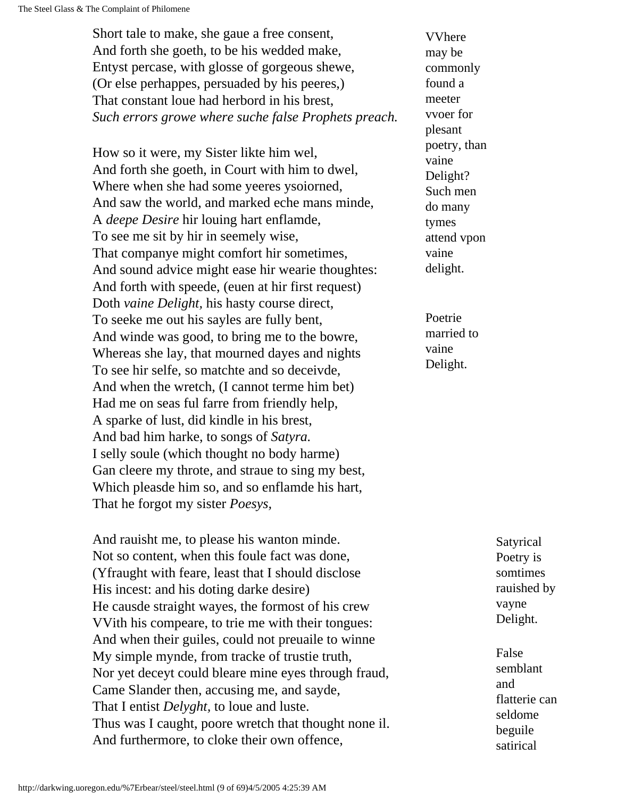Short tale to make, she gaue a free consent, And forth she goeth, to be his wedded make, Entyst percase, with glosse of gorgeous shewe, (Or else perhappes, persuaded by his peeres,) That constant loue had herbord in his brest, *Such errors growe where suche false Prophets preach.*

How so it were, my Sister likte him wel, And forth she goeth, in Court with him to dwel, Where when she had some yeeres ysoiorned, And saw the world, and marked eche mans minde, A *deepe Desire* hir louing hart enflamde, To see me sit by hir in seemely wise, That companye might comfort hir sometimes, And sound advice might ease hir wearie thoughtes: And forth with speede, (euen at hir first request) Doth *vaine Delight,* his hasty course direct, To seeke me out his sayles are fully bent, And winde was good, to bring me to the bowre, Whereas she lay, that mourned dayes and nights To see hir selfe, so matchte and so deceivde, And when the wretch, (I cannot terme him bet) Had me on seas ful farre from friendly help, A sparke of lust, did kindle in his brest, And bad him harke, to songs of *Satyra.* I selly soule (which thought no body harme) Gan cleere my throte, and straue to sing my best, Which pleasde him so, and so enflamde his hart, That he forgot my sister *Poesys,*

And rauisht me, to please his wanton minde. Not so content, when this foule fact was done, (Yfraught with feare, least that I should disclose His incest: and his doting darke desire) He causde straight wayes, the formost of his crew VVith his compeare, to trie me with their tongues: And when their guiles, could not preuaile to winne My simple mynde, from tracke of trustie truth, Nor yet deceyt could bleare mine eyes through fraud, Came Slander then, accusing me, and sayde, That I entist *Delyght,* to loue and luste. Thus was I caught, poore wretch that thought none il. And furthermore, to cloke their own offence,

VVhere may be commonly found a meeter vvoer for plesant poetry, than vaine Delight? Such men do many tymes attend vpon vaine delight.

Poetrie married to vaine Delight.

> Satyrical Poetry is somtimes rauished by vayne Delight.

False semblant and flatterie can seldome beguile satirical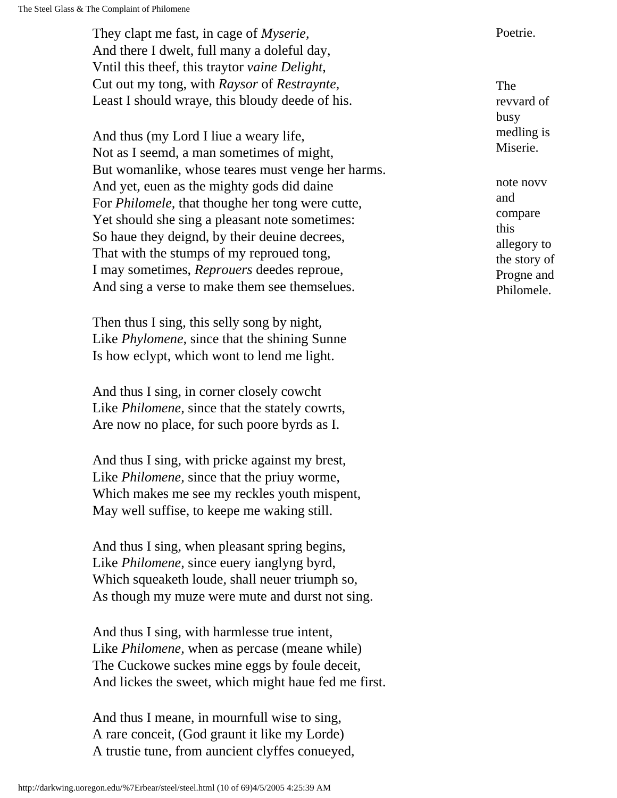They clapt me fast, in cage of *Myserie*, Poetrie. And there I dwelt, full many a doleful day, Vntil this theef, this traytor *vaine Delight,* Cut out my tong, with *Raysor* of *Restraynte,* Least I should wraye, this bloudy deede of his.

And thus (my Lord I liue a weary life, Not as I seemd, a man sometimes of might, But womanlike, whose teares must venge her harms. And yet, euen as the mighty gods did daine For *Philomele,* that thoughe her tong were cutte, Yet should she sing a pleasant note sometimes: So haue they deignd, by their deuine decrees, That with the stumps of my reproued tong, I may sometimes, *Reprouers* deedes reproue, And sing a verse to make them see themselues.

Then thus I sing, this selly song by night, Like *Phylomene,* since that the shining Sunne Is how eclypt, which wont to lend me light.

And thus I sing, in corner closely cowcht Like *Philomene,* since that the stately cowrts, Are now no place, for such poore byrds as I.

And thus I sing, with pricke against my brest, Like *Philomene,* since that the priuy worme, Which makes me see my reckles youth mispent, May well suffise, to keepe me waking still.

And thus I sing, when pleasant spring begins, Like *Philomene,* since euery ianglyng byrd, Which squeaketh loude, shall neuer triumph so, As though my muze were mute and durst not sing.

And thus I sing, with harmlesse true intent, Like *Philomene,* when as percase (meane while) The Cuckowe suckes mine eggs by foule deceit, And lickes the sweet, which might haue fed me first.

And thus I meane, in mournfull wise to sing, A rare conceit, (God graunt it like my Lorde) A trustie tune, from auncient clyffes conueyed,

The revvard of busy medling is Miserie.

note novv and compare this allegory to the story of Progne and Philomele.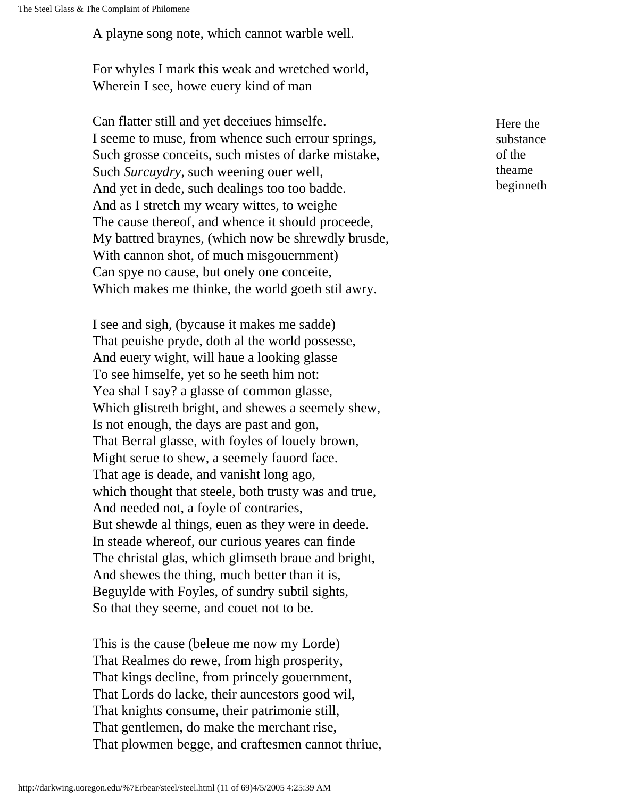A playne song note, which cannot warble well.

For whyles I mark this weak and wretched world, Wherein I see, howe euery kind of man

Can flatter still and yet deceiues himselfe. I seeme to muse, from whence such errour springs, Such grosse conceits, such mistes of darke mistake, Such *Surcuydry,* such weening ouer well, And yet in dede, such dealings too too badde. And as I stretch my weary wittes, to weighe The cause thereof, and whence it should proceede, My battred braynes, (which now be shrewdly brusde, With cannon shot, of much misgouernment) Can spye no cause, but onely one conceite, Which makes me thinke, the world goeth stil awry.

I see and sigh, (bycause it makes me sadde) That peuishe pryde, doth al the world possesse, And euery wight, will haue a looking glasse To see himselfe, yet so he seeth him not: Yea shal I say? a glasse of common glasse, Which glistreth bright, and shewes a seemely shew, Is not enough, the days are past and gon, That Berral glasse, with foyles of louely brown, Might serue to shew, a seemely fauord face. That age is deade, and vanisht long ago, which thought that steele, both trusty was and true, And needed not, a foyle of contraries, But shewde al things, euen as they were in deede. In steade whereof, our curious yeares can finde The christal glas, which glimseth braue and bright, And shewes the thing, much better than it is, Beguylde with Foyles, of sundry subtil sights, So that they seeme, and couet not to be.

This is the cause (beleue me now my Lorde) That Realmes do rewe, from high prosperity, That kings decline, from princely gouernment, That Lords do lacke, their auncestors good wil, That knights consume, their patrimonie still, That gentlemen, do make the merchant rise, That plowmen begge, and craftesmen cannot thriue, Here the substance of the theame beginneth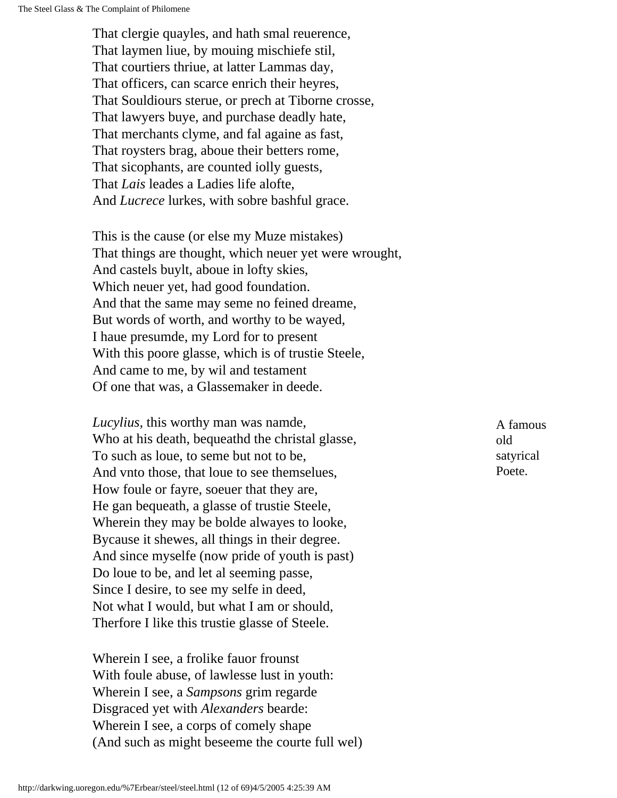That clergie quayles, and hath smal reuerence, That laymen liue, by mouing mischiefe stil, That courtiers thriue, at latter Lammas day, That officers, can scarce enrich their heyres, That Souldiours sterue, or prech at Tiborne crosse, That lawyers buye, and purchase deadly hate, That merchants clyme, and fal againe as fast, That roysters brag, aboue their betters rome, That sicophants, are counted iolly guests, That *Lais* leades a Ladies life alofte, And *Lucrece* lurkes, with sobre bashful grace.

This is the cause (or else my Muze mistakes) That things are thought, which neuer yet were wrought, And castels buylt, aboue in lofty skies, Which neuer yet, had good foundation. And that the same may seme no feined dreame, But words of worth, and worthy to be wayed, I haue presumde, my Lord for to present With this poore glasse, which is of trustie Steele, And came to me, by wil and testament Of one that was, a Glassemaker in deede.

*Lucylius,* this worthy man was namde, Who at his death, bequeathd the christal glasse, To such as loue, to seme but not to be, And vnto those, that loue to see themselues, How foule or fayre, soeuer that they are, He gan bequeath, a glasse of trustie Steele, Wherein they may be bolde alwayes to looke, Bycause it shewes, all things in their degree. And since myselfe (now pride of youth is past) Do loue to be, and let al seeming passe, Since I desire, to see my selfe in deed, Not what I would, but what I am or should, Therfore I like this trustie glasse of Steele.

Wherein I see, a frolike fauor frounst With foule abuse, of lawlesse lust in youth: Wherein I see, a *Sampsons* grim regarde Disgraced yet with *Alexanders* bearde: Wherein I see, a corps of comely shape (And such as might beseeme the courte full wel) A famous old satyrical Poete.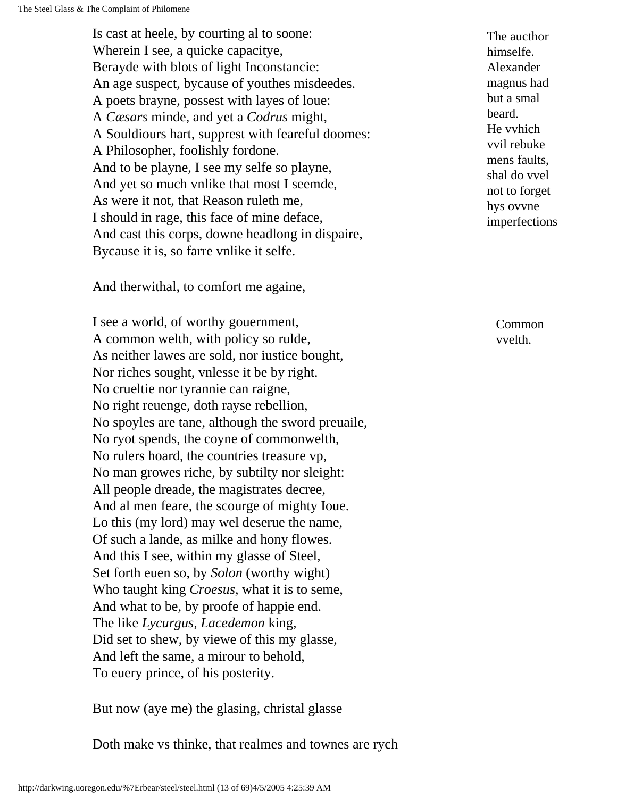Is cast at heele, by courting al to soone: Wherein I see, a quicke capacitye, Berayde with blots of light Inconstancie: An age suspect, bycause of youthes misdeedes. A poets brayne, possest with layes of loue: A *Cæsars* minde, and yet a *Codrus* might, A Souldiours hart, supprest with feareful doomes: A Philosopher, foolishly fordone. And to be playne, I see my selfe so playne, And yet so much vnlike that most I seemde, As were it not, that Reason ruleth me, I should in rage, this face of mine deface, And cast this corps, downe headlong in dispaire, Bycause it is, so farre vnlike it selfe.

And therwithal, to comfort me againe,

I see a world, of worthy gouernment, A common welth, with policy so rulde, As neither lawes are sold, nor iustice bought, Nor riches sought, vnlesse it be by right. No crueltie nor tyrannie can raigne, No right reuenge, doth rayse rebellion, No spoyles are tane, although the sword preuaile, No ryot spends, the coyne of commonwelth, No rulers hoard, the countries treasure vp, No man growes riche, by subtilty nor sleight: All people dreade, the magistrates decree, And al men feare, the scourge of mighty Ioue. Lo this (my lord) may wel deserue the name, Of such a lande, as milke and hony flowes. And this I see, within my glasse of Steel, Set forth euen so, by *Solon* (worthy wight) Who taught king *Croesus,* what it is to seme, And what to be, by proofe of happie end. The like *Lycurgus, Lacedemon* king, Did set to shew, by viewe of this my glasse, And left the same, a mirour to behold, To euery prince, of his posterity.

But now (aye me) the glasing, christal glasse

Doth make vs thinke, that realmes and townes are rych

The aucthor himselfe. Alexander magnus had but a smal beard. He vvhich vvil rebuke mens faults, shal do vvel not to forget hys ovvne imperfections

> Common vvelth.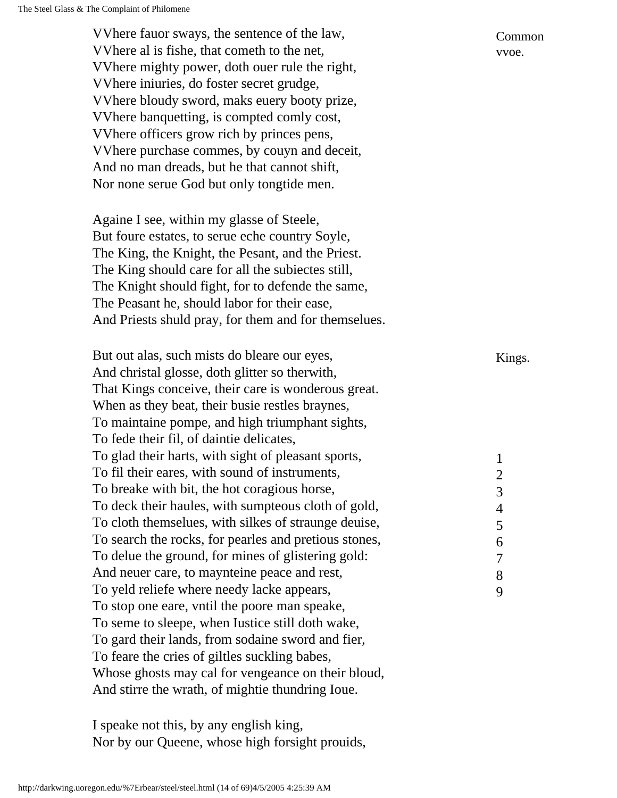Common vvoe. VVhere fauor sways, the sentence of the law, VVhere al is fishe, that cometh to the net, VVhere mighty power, doth ouer rule the right, VVhere iniuries, do foster secret grudge, VVhere bloudy sword, maks euery booty prize, VVhere banquetting, is compted comly cost, VVhere officers grow rich by princes pens, VVhere purchase commes, by couyn and deceit, And no man dreads, but he that cannot shift, Nor none serue God but only tongtide men. Againe I see, within my glasse of Steele, But foure estates, to serue eche country Soyle, The King, the Knight, the Pesant, and the Priest. The King should care for all the subiectes still, The Knight should fight, for to defende the same, The Peasant he, should labor for their ease, And Priests shuld pray, for them and for themselues. But out alas, such mists do bleare our eyes, Kings. And christal glosse, doth glitter so therwith, That Kings conceive, their care is wonderous great. When as they beat, their busie restles braynes, To maintaine pompe, and high triumphant sights, To fede their fil, of daintie delicates, 1 2 3 4 5 6 7 8 9 To glad their harts, with sight of pleasant sports, To fil their eares, with sound of instruments, To breake with bit, the hot coragious horse, To deck their haules, with sumpteous cloth of gold, To cloth themselues, with silkes of straunge deuise, To search the rocks, for pearles and pretious stones, To delue the ground, for mines of glistering gold: And neuer care, to maynteine peace and rest, To yeld reliefe where needy lacke appears, To stop one eare, vntil the poore man speake, To seme to sleepe, when Iustice still doth wake, To gard their lands, from sodaine sword and fier, To feare the cries of giltles suckling babes, Whose ghosts may cal for vengeance on their bloud, And stirre the wrath, of mightie thundring Ioue.

I speake not this, by any english king, Nor by our Queene, whose high forsight prouids,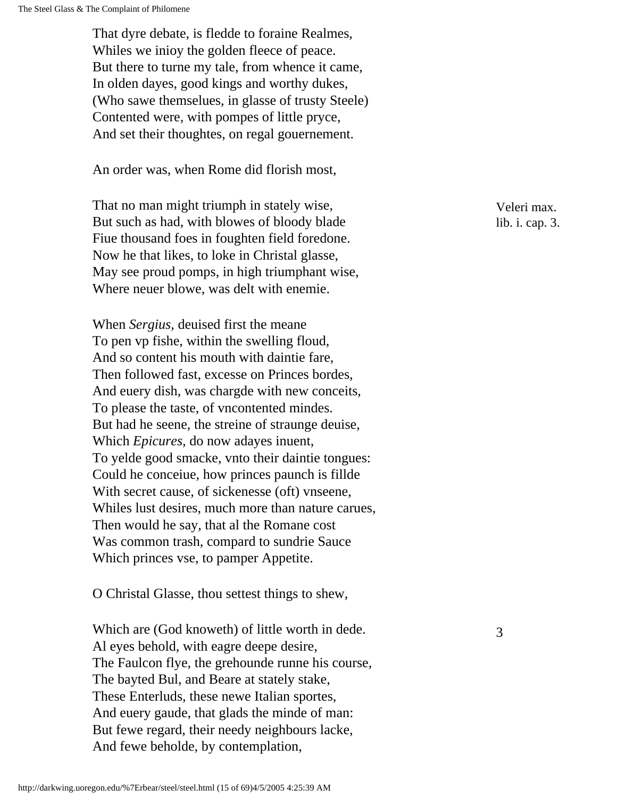That dyre debate, is fledde to foraine Realmes, Whiles we inioy the golden fleece of peace. But there to turne my tale, from whence it came, In olden dayes, good kings and worthy dukes, (Who sawe themselues, in glasse of trusty Steele) Contented were, with pompes of little pryce, And set their thoughtes, on regal gouernement.

An order was, when Rome did florish most,

That no man might triumph in stately wise, But such as had, with blowes of bloody blade Fiue thousand foes in foughten field foredone. Now he that likes, to loke in Christal glasse, May see proud pomps, in high triumphant wise, Where neuer blowe, was delt with enemie.

When *Sergius,* deuised first the meane To pen vp fishe, within the swelling floud, And so content his mouth with daintie fare, Then followed fast, excesse on Princes bordes, And euery dish, was chargde with new conceits, To please the taste, of vncontented mindes. But had he seene, the streine of straunge deuise, Which *Epicures,* do now adayes inuent, To yelde good smacke, vnto their daintie tongues: Could he conceiue, how princes paunch is fillde With secret cause, of sickenesse (oft) vnseene, Whiles lust desires, much more than nature carues, Then would he say, that al the Romane cost Was common trash, compard to sundrie Sauce Which princes vse, to pamper Appetite.

O Christal Glasse, thou settest things to shew,

Which are (God knoweth) of little worth in dede. 3 Al eyes behold, with eagre deepe desire, The Faulcon flye, the grehounde runne his course, The bayted Bul, and Beare at stately stake, These Enterluds, these newe Italian sportes, And euery gaude, that glads the minde of man: But fewe regard, their needy neighbours lacke, And fewe beholde, by contemplation,

Veleri max. lib. i. cap. 3.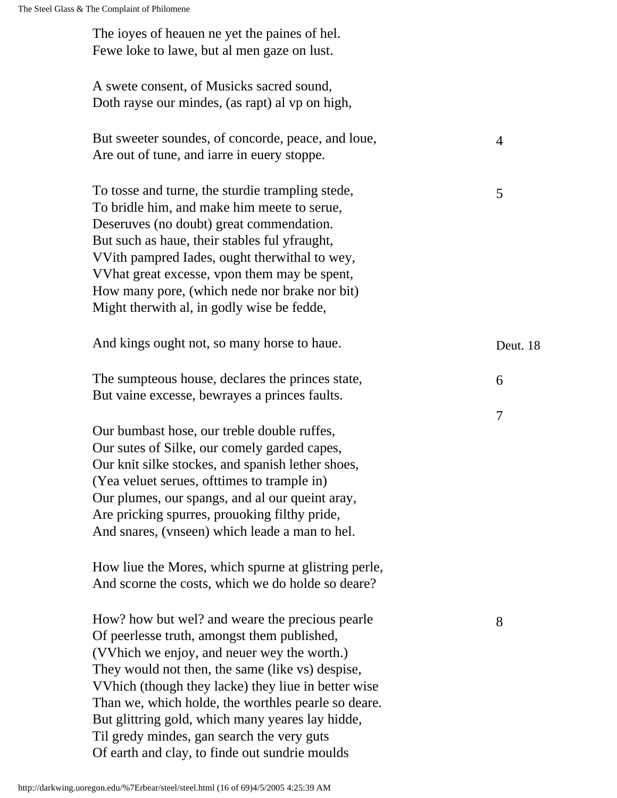| The ioyes of heauen ne yet the paines of hel.<br>Fewe loke to lawe, but al men gaze on lust.                                                                                                                                                                                                                                                                                                                                                                        |                |
|---------------------------------------------------------------------------------------------------------------------------------------------------------------------------------------------------------------------------------------------------------------------------------------------------------------------------------------------------------------------------------------------------------------------------------------------------------------------|----------------|
| A swete consent, of Musicks sacred sound,<br>Doth rayse our mindes, (as rapt) al vp on high,                                                                                                                                                                                                                                                                                                                                                                        |                |
| But sweeter soundes, of concorde, peace, and loue,<br>Are out of tune, and iarre in euery stoppe.                                                                                                                                                                                                                                                                                                                                                                   | 4              |
| To tosse and turne, the sturdie trampling stede,<br>To bridle him, and make him meete to serue,<br>Deseruves (no doubt) great commendation.<br>But such as haue, their stables ful yfraught,<br>VVith pampred Iades, ought therwithal to wey,<br>What great excesse, ypon them may be spent,<br>How many pore, (which nede nor brake nor bit)<br>Might therwith al, in godly wise be fedde,                                                                         | 5              |
| And kings ought not, so many horse to haue.                                                                                                                                                                                                                                                                                                                                                                                                                         | Deut. 18       |
| The sumpteous house, declares the princes state,<br>But vaine excesse, bewrayes a princes faults.                                                                                                                                                                                                                                                                                                                                                                   | 6              |
| Our bumbast hose, our treble double ruffes,<br>Our sutes of Silke, our comely garded capes,<br>Our knit silke stockes, and spanish lether shoes,<br>(Yea veluet serues, ofttimes to trample in)<br>Our plumes, our spangs, and al our queint aray,<br>Are pricking spurres, prouoking filthy pride,<br>And snares, (vnseen) which leade a man to hel.                                                                                                               | $\overline{7}$ |
| How liue the Mores, which spurne at glistring perle,<br>And scorne the costs, which we do holde so deare?                                                                                                                                                                                                                                                                                                                                                           |                |
| How? how but wel? and weare the precious pearle<br>Of peerlesse truth, amongst them published,<br>(VVhich we enjoy, and neuer wey the worth.)<br>They would not then, the same (like vs) despise,<br>VVhich (though they lacke) they liue in better wise<br>Than we, which holde, the worthles pearle so deare.<br>But glittring gold, which many yeares lay hidde,<br>Til gredy mindes, gan search the very guts<br>Of earth and clay, to finde out sundrie moulds | 8              |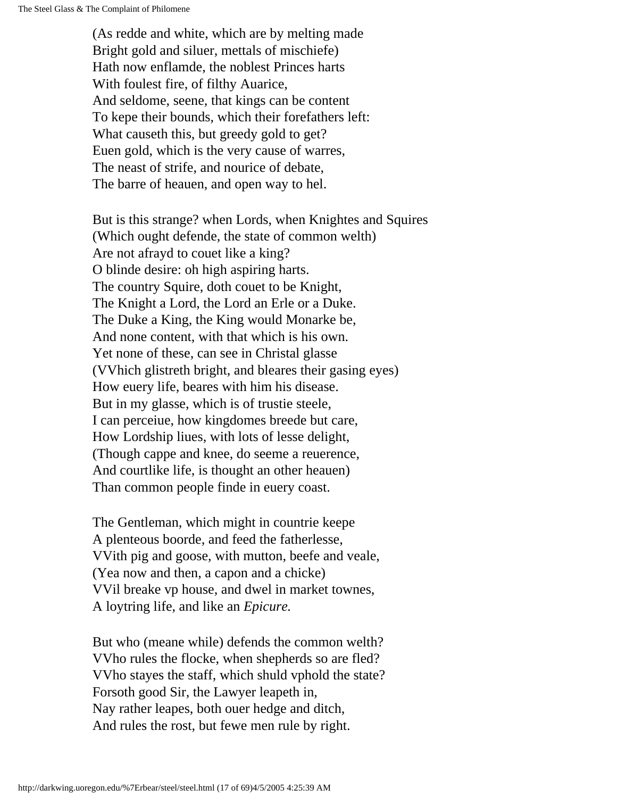(As redde and white, which are by melting made Bright gold and siluer, mettals of mischiefe) Hath now enflamde, the noblest Princes harts With foulest fire, of filthy Auarice, And seldome, seene, that kings can be content To kepe their bounds, which their forefathers left: What causeth this, but greedy gold to get? Euen gold, which is the very cause of warres, The neast of strife, and nourice of debate, The barre of heauen, and open way to hel.

But is this strange? when Lords, when Knightes and Squires (Which ought defende, the state of common welth) Are not afrayd to couet like a king? O blinde desire: oh high aspiring harts. The country Squire, doth couet to be Knight, The Knight a Lord, the Lord an Erle or a Duke. The Duke a King, the King would Monarke be, And none content, with that which is his own. Yet none of these, can see in Christal glasse (VVhich glistreth bright, and bleares their gasing eyes) How euery life, beares with him his disease. But in my glasse, which is of trustie steele, I can perceiue, how kingdomes breede but care, How Lordship liues, with lots of lesse delight, (Though cappe and knee, do seeme a reuerence, And courtlike life, is thought an other heauen) Than common people finde in euery coast.

The Gentleman, which might in countrie keepe A plenteous boorde, and feed the fatherlesse, VVith pig and goose, with mutton, beefe and veale, (Yea now and then, a capon and a chicke) VVil breake vp house, and dwel in market townes, A loytring life, and like an *Epicure.*

But who (meane while) defends the common welth? VVho rules the flocke, when shepherds so are fled? VVho stayes the staff, which shuld vphold the state? Forsoth good Sir, the Lawyer leapeth in, Nay rather leapes, both ouer hedge and ditch, And rules the rost, but fewe men rule by right.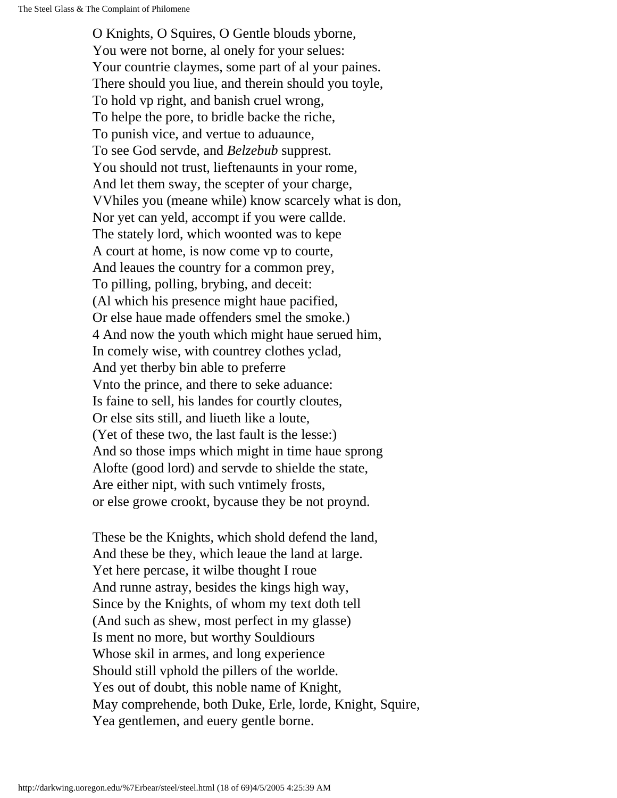O Knights, O Squires, O Gentle blouds yborne, You were not borne, al onely for your selues: Your countrie claymes, some part of al your paines. There should you liue, and therein should you toyle, To hold vp right, and banish cruel wrong, To helpe the pore, to bridle backe the riche, To punish vice, and vertue to aduaunce, To see God servde, and *Belzebub* supprest. You should not trust, lieftenaunts in your rome, And let them sway, the scepter of your charge, VVhiles you (meane while) know scarcely what is don, Nor yet can yeld, accompt if you were callde. The stately lord, which woonted was to kepe A court at home, is now come vp to courte, And leaues the country for a common prey, To pilling, polling, brybing, and deceit: (Al which his presence might haue pacified, Or else haue made offenders smel the smoke.) 4 And now the youth which might haue serued him, In comely wise, with countrey clothes yclad, And yet therby bin able to preferre Vnto the prince, and there to seke aduance: Is faine to sell, his landes for courtly cloutes, Or else sits still, and liueth like a loute, (Yet of these two, the last fault is the lesse:) And so those imps which might in time haue sprong Alofte (good lord) and servde to shielde the state, Are either nipt, with such vntimely frosts, or else growe crookt, bycause they be not proynd.

These be the Knights, which shold defend the land, And these be they, which leaue the land at large. Yet here percase, it wilbe thought I roue And runne astray, besides the kings high way, Since by the Knights, of whom my text doth tell (And such as shew, most perfect in my glasse) Is ment no more, but worthy Souldiours Whose skil in armes, and long experience Should still vphold the pillers of the worlde. Yes out of doubt, this noble name of Knight, May comprehende, both Duke, Erle, lorde, Knight, Squire, Yea gentlemen, and euery gentle borne.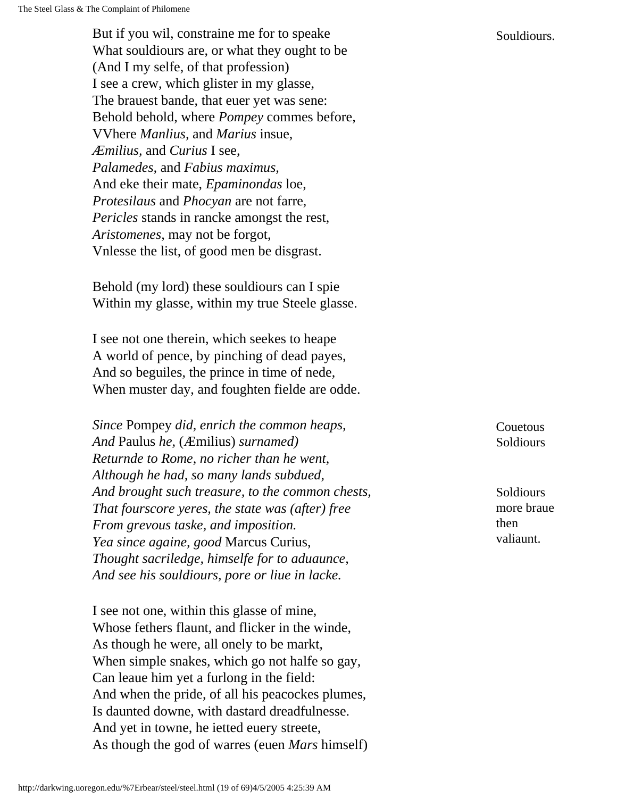But if you wil, constraine me for to speake Souldiours. What souldiours are, or what they ought to be (And I my selfe, of that profession) I see a crew, which glister in my glasse, The brauest bande, that euer yet was sene: Behold behold, where *Pompey* commes before, VVhere *Manlius,* and *Marius* insue, *Æmilius,* and *Curius* I see, *Palamedes,* and *Fabius maximus,* And eke their mate, *Epaminondas* loe, *Protesilaus* and *Phocyan* are not farre, *Pericles* stands in rancke amongst the rest, *Aristomenes,* may not be forgot, Vnlesse the list, of good men be disgrast.

Behold (my lord) these souldiours can I spie Within my glasse, within my true Steele glasse.

I see not one therein, which seekes to heape A world of pence, by pinching of dead payes, And so beguiles, the prince in time of nede, When muster day, and foughten fielde are odde.

*Since* Pompey *did, enrich the common heaps, And* Paulus *he,* (Æmilius) *surnamed) Returnde to Rome, no richer than he went, Although he had, so many lands subdued, And brought such treasure, to the common chests, That fourscore yeres, the state was (after) free From grevous taske, and imposition. Yea since againe, good* Marcus Curius, *Thought sacriledge, himselfe for to aduaunce, And see his souldiours, pore or liue in lacke.*

I see not one, within this glasse of mine, Whose fethers flaunt, and flicker in the winde, As though he were, all onely to be markt, When simple snakes, which go not halfe so gay, Can leaue him yet a furlong in the field: And when the pride, of all his peacockes plumes, Is daunted downe, with dastard dreadfulnesse. And yet in towne, he ietted euery streete, As though the god of warres (euen *Mars* himself) Couetous Soldiours

Soldiours more braue then valiaunt.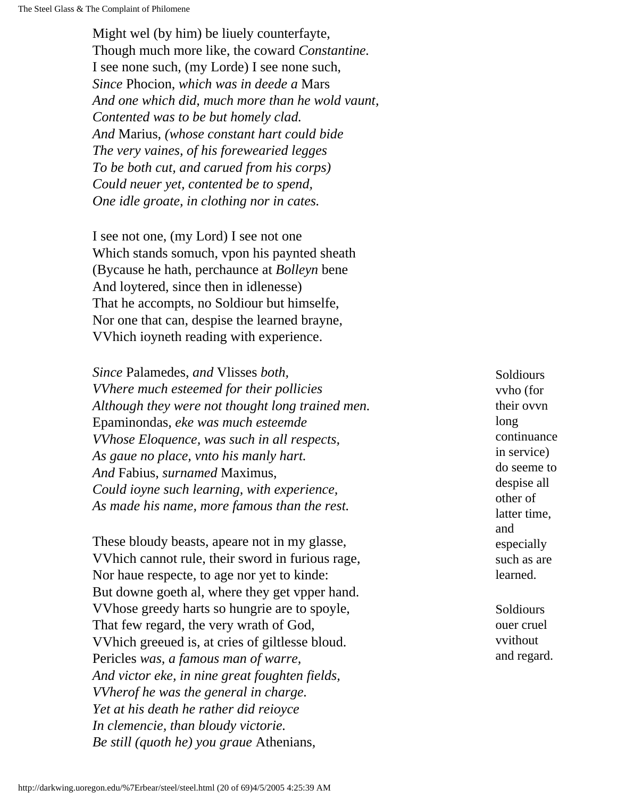Might wel (by him) be liuely counterfayte, Though much more like, the coward *Constantine.* I see none such, (my Lorde) I see none such, *Since* Phocion, *which was in deede a* Mars *And one which did, much more than he wold vaunt, Contented was to be but homely clad. And* Marius, *(whose constant hart could bide The very vaines, of his forewearied legges To be both cut, and carued from his corps) Could neuer yet, contented be to spend, One idle groate, in clothing nor in cates.*

I see not one, (my Lord) I see not one Which stands somuch, vpon his paynted sheath (Bycause he hath, perchaunce at *Bolleyn* bene And loytered, since then in idlenesse) That he accompts, no Soldiour but himselfe, Nor one that can, despise the learned brayne, VVhich ioyneth reading with experience.

*Since* Palamedes, *and* Vlisses *both, VVhere much esteemed for their pollicies Although they were not thought long trained men.* Epaminondas, *eke was much esteemde VVhose Eloquence, was such in all respects, As gaue no place, vnto his manly hart. And* Fabius, *surnamed* Maximus, *Could ioyne such learning, with experience, As made his name, more famous than the rest.*

These bloudy beasts, apeare not in my glasse, VVhich cannot rule, their sword in furious rage, Nor haue respecte, to age nor yet to kinde: But downe goeth al, where they get vpper hand. VVhose greedy harts so hungrie are to spoyle, That few regard, the very wrath of God, VVhich greeued is, at cries of giltlesse bloud. Pericles *was, a famous man of warre, And victor eke, in nine great foughten fields, VVherof he was the general in charge. Yet at his death he rather did reioyce In clemencie, than bloudy victorie. Be still (quoth he) you graue* Athenians,

**Soldiours** vvho (for their ovvn long continuance in service) do seeme to despise all other of latter time, and especially such as are learned.

Soldiours ouer cruel vvithout and regard.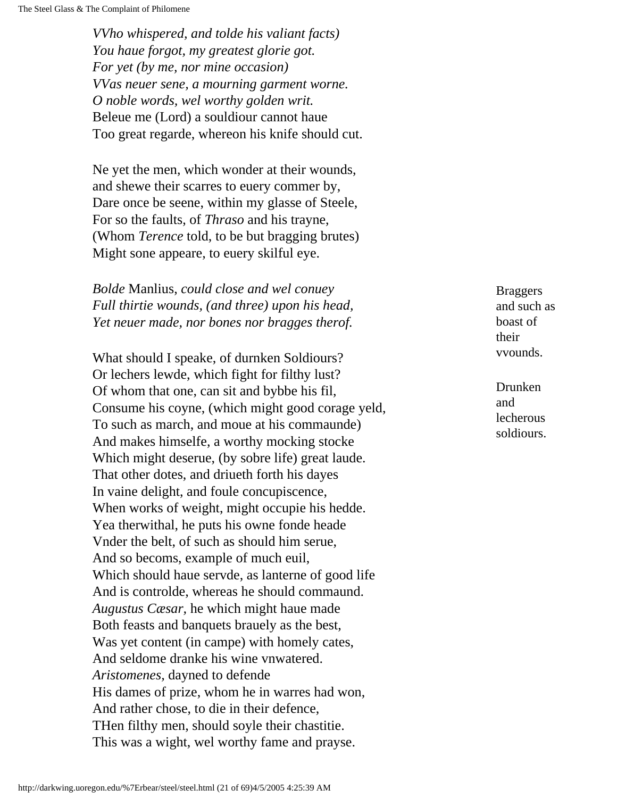*VVho whispered, and tolde his valiant facts) You haue forgot, my greatest glorie got. For yet (by me, nor mine occasion) VVas neuer sene, a mourning garment worne. O noble words, wel worthy golden writ.* Beleue me (Lord) a souldiour cannot haue Too great regarde, whereon his knife should cut.

Ne yet the men, which wonder at their wounds, and shewe their scarres to euery commer by, Dare once be seene, within my glasse of Steele, For so the faults, of *Thraso* and his trayne, (Whom *Terence* told, to be but bragging brutes) Might sone appeare, to euery skilful eye.

*Bolde* Manlius, *could close and wel conuey Full thirtie wounds, (and three) upon his head, Yet neuer made, nor bones nor bragges therof.*

What should I speake, of durnken Soldiours? Or lechers lewde, which fight for filthy lust? Of whom that one, can sit and bybbe his fil, Consume his coyne, (which might good corage yeld, To such as march, and moue at his commaunde) And makes himselfe, a worthy mocking stocke Which might deserue, (by sobre life) great laude. That other dotes, and driueth forth his dayes In vaine delight, and foule concupiscence, When works of weight, might occupie his hedde. Yea therwithal, he puts his owne fonde heade Vnder the belt, of such as should him serue, And so becoms, example of much euil, Which should haue servde, as lanterne of good life And is controlde, whereas he should commaund. *Augustus Cæsar,* he which might haue made Both feasts and banquets brauely as the best, Was yet content (in campe) with homely cates, And seldome dranke his wine vnwatered. *Aristomenes,* dayned to defende His dames of prize, whom he in warres had won, And rather chose, to die in their defence, THen filthy men, should soyle their chastitie. This was a wight, wel worthy fame and prayse.

Braggers and such as boast of their vvounds.

Drunken and lecherous soldiours.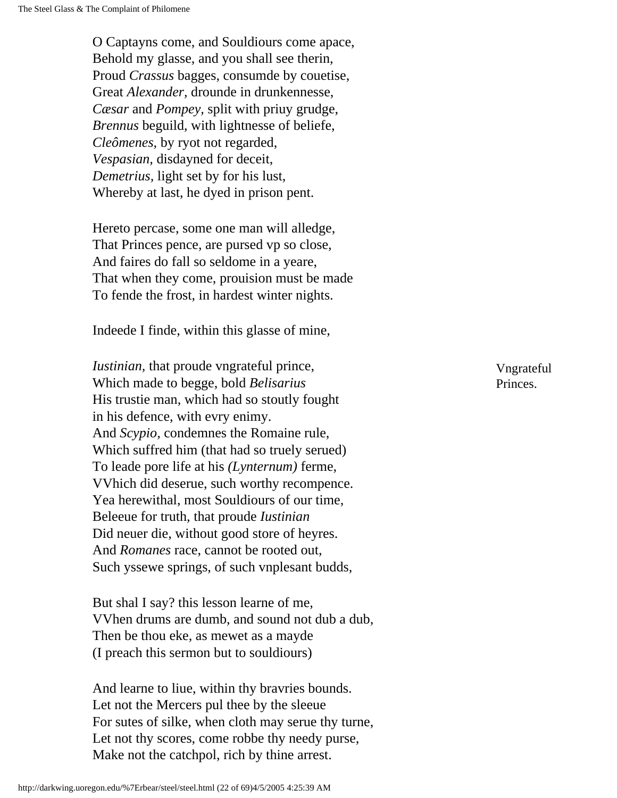O Captayns come, and Souldiours come apace, Behold my glasse, and you shall see therin, Proud *Crassus* bagges, consumde by couetise, Great *Alexander,* drounde in drunkennesse, *Cæsar* and *Pompey,* split with priuy grudge, *Brennus* beguild, with lightnesse of beliefe, *Cleômenes,* by ryot not regarded, *Vespasian,* disdayned for deceit, *Demetrius,* light set by for his lust, Whereby at last, he dyed in prison pent.

Hereto percase, some one man will alledge, That Princes pence, are pursed vp so close, And faires do fall so seldome in a yeare, That when they come, prouision must be made To fende the frost, in hardest winter nights.

Indeede I finde, within this glasse of mine,

*Iustinian,* that proude vngrateful prince, Which made to begge, bold *Belisarius* His trustie man, which had so stoutly fought in his defence, with evry enimy. And *Scypio,* condemnes the Romaine rule, Which suffred him (that had so truely serued) To leade pore life at his *(Lynternum)* ferme, VVhich did deserue, such worthy recompence. Yea herewithal, most Souldiours of our time, Beleeue for truth, that proude *Iustinian*  Did neuer die, without good store of heyres. And *Romanes* race, cannot be rooted out, Such yssewe springs, of such vnplesant budds,

But shal I say? this lesson learne of me, VVhen drums are dumb, and sound not dub a dub, Then be thou eke, as mewet as a mayde (I preach this sermon but to souldiours)

And learne to liue, within thy bravries bounds. Let not the Mercers pul thee by the sleeue For sutes of silke, when cloth may serue thy turne, Let not thy scores, come robbe thy needy purse, Make not the catchpol, rich by thine arrest.

Vngrateful Princes.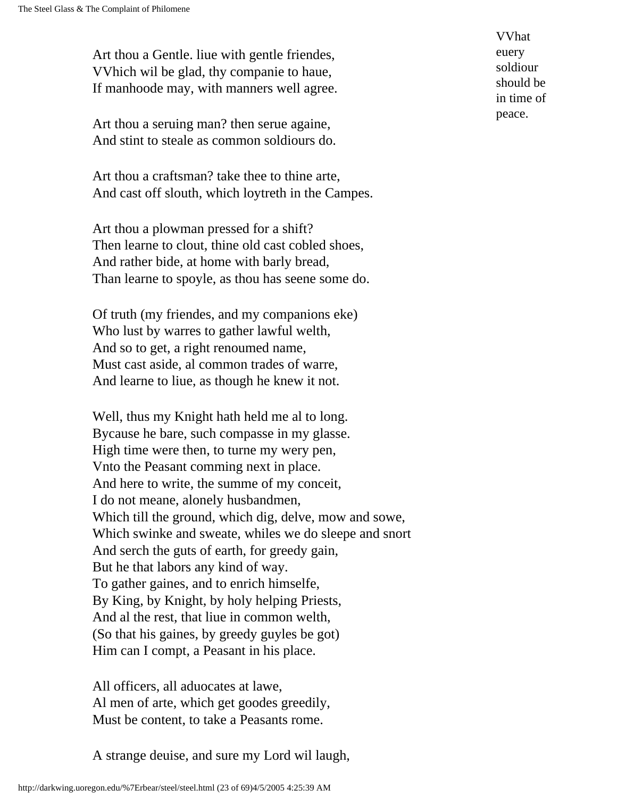Art thou a Gentle. liue with gentle friendes, VVhich wil be glad, thy companie to haue, If manhoode may, with manners well agree.

Art thou a seruing man? then serue againe, And stint to steale as common soldiours do.

Art thou a craftsman? take thee to thine arte, And cast off slouth, which loytreth in the Campes.

Art thou a plowman pressed for a shift? Then learne to clout, thine old cast cobled shoes, And rather bide, at home with barly bread, Than learne to spoyle, as thou has seene some do.

Of truth (my friendes, and my companions eke) Who lust by warres to gather lawful welth, And so to get, a right renoumed name, Must cast aside, al common trades of warre, And learne to liue, as though he knew it not.

Well, thus my Knight hath held me al to long. Bycause he bare, such compasse in my glasse. High time were then, to turne my wery pen, Vnto the Peasant comming next in place. And here to write, the summe of my conceit, I do not meane, alonely husbandmen, Which till the ground, which dig, delve, mow and sowe, Which swinke and sweate, whiles we do sleepe and snort And serch the guts of earth, for greedy gain, But he that labors any kind of way. To gather gaines, and to enrich himselfe, By King, by Knight, by holy helping Priests, And al the rest, that liue in common welth, (So that his gaines, by greedy guyles be got) Him can I compt, a Peasant in his place.

All officers, all aduocates at lawe, Al men of arte, which get goodes greedily, Must be content, to take a Peasants rome.

A strange deuise, and sure my Lord wil laugh,

VVhat euery soldiour should be in time of peace.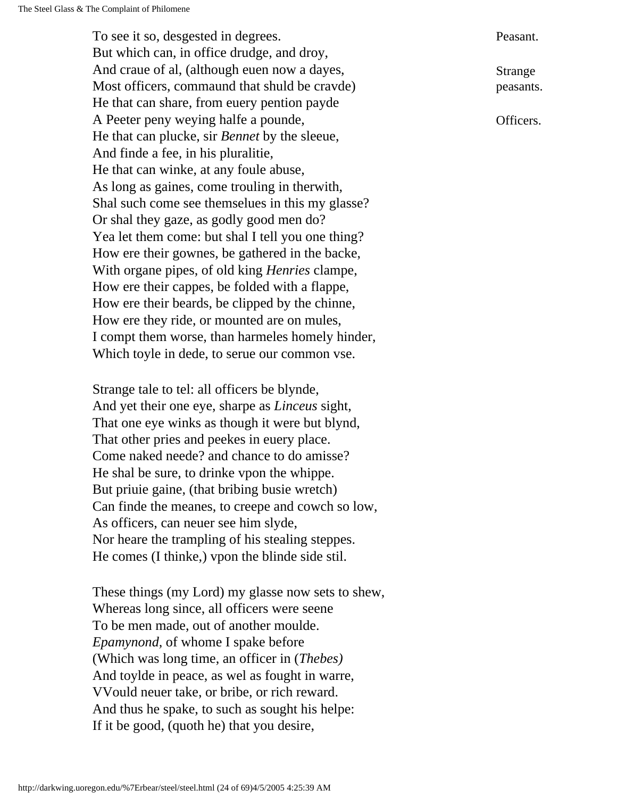To see it so, desgested in degrees. But which can, in office drudge, and droy, And craue of al, (although euen now a dayes, Most officers, commaund that shuld be cravde) He that can share, from euery pention payde A Peeter peny weying halfe a pounde, He that can plucke, sir *Bennet* by the sleeue, And finde a fee, in his pluralitie, He that can winke, at any foule abuse, As long as gaines, come trouling in therwith, Shal such come see themselues in this my glasse? Or shal they gaze, as godly good men do? Yea let them come: but shal I tell you one thing? How ere their gownes, be gathered in the backe, With organe pipes, of old king *Henries* clampe, How ere their cappes, be folded with a flappe, How ere their beards, be clipped by the chinne, How ere they ride, or mounted are on mules, I compt them worse, than harmeles homely hinder, Which toyle in dede, to serue our common vse.

Strange tale to tel: all officers be blynde, And yet their one eye, sharpe as *Linceus* sight, That one eye winks as though it were but blynd, That other pries and peekes in euery place. Come naked neede? and chance to do amisse? He shal be sure, to drinke vpon the whippe. But priuie gaine, (that bribing busie wretch) Can finde the meanes, to creepe and cowch so low, As officers, can neuer see him slyde, Nor heare the trampling of his stealing steppes. He comes (I thinke,) vpon the blinde side stil.

These things (my Lord) my glasse now sets to shew, Whereas long since, all officers were seene To be men made, out of another moulde. *Epamynond,* of whome I spake before (Which was long time, an officer in (*Thebes)* And toylde in peace, as wel as fought in warre, VVould neuer take, or bribe, or rich reward. And thus he spake, to such as sought his helpe: If it be good, (quoth he) that you desire,

Peasant.

Strange peasants.

Officers.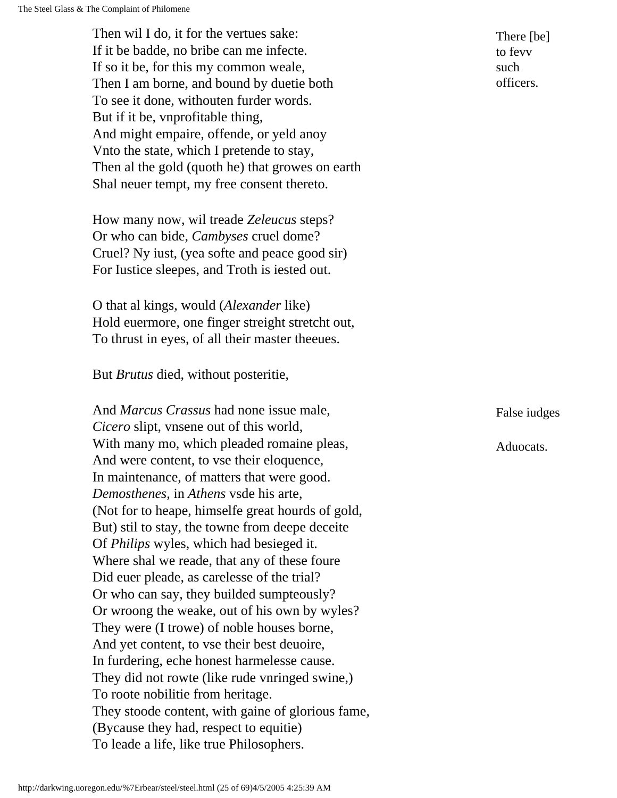Then wil I do, it for the vertues sake: If it be badde, no bribe can me infecte. If so it be, for this my common weale, Then I am borne, and bound by duetie both To see it done, withouten furder words. But if it be, vnprofitable thing, And might empaire, offende, or yeld anoy Vnto the state, which I pretende to stay, Then al the gold (quoth he) that growes on earth Shal neuer tempt, my free consent thereto.

How many now, wil treade *Zeleucus* steps? Or who can bide, *Cambyses* cruel dome? Cruel? Ny iust, (yea softe and peace good sir) For Iustice sleepes, and Troth is iested out.

O that al kings, would (*Alexander* like) Hold euermore, one finger streight stretcht out, To thrust in eyes, of all their master theeues.

But *Brutus* died, without posteritie,

And *Marcus Crassus* had none issue male, *Cicero* slipt, vnsene out of this world, With many mo, which pleaded romaine pleas, And were content, to vse their eloquence, In maintenance, of matters that were good. *Demosthenes,* in *Athens* vsde his arte, (Not for to heape, himselfe great hourds of gold, But) stil to stay, the towne from deepe deceite Of *Philips* wyles, which had besieged it. Where shal we reade, that any of these foure Did euer pleade, as carelesse of the trial? Or who can say, they builded sumpteously? Or wroong the weake, out of his own by wyles? They were (I trowe) of noble houses borne, And yet content, to vse their best deuoire, In furdering, eche honest harmelesse cause. They did not rowte (like rude vnringed swine,) To roote nobilitie from heritage. They stoode content, with gaine of glorious fame, (Bycause they had, respect to equitie) To leade a life, like true Philosophers.

There [be] to fevv such officers.

False iudges

Aduocats.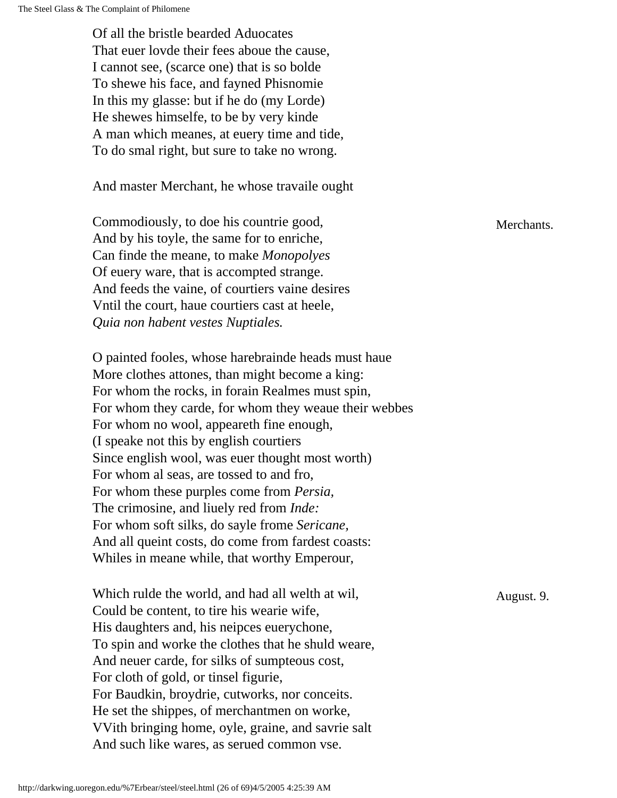Of all the bristle bearded Aduocates That euer lovde their fees aboue the cause, I cannot see, (scarce one) that is so bolde To shewe his face, and fayned Phisnomie In this my glasse: but if he do (my Lorde) He shewes himselfe, to be by very kinde A man which meanes, at euery time and tide, To do smal right, but sure to take no wrong.

And master Merchant, he whose travaile ought

Commodiously, to doe his countrie good, Merchants. And by his toyle, the same for to enriche, Can finde the meane, to make *Monopolyes* Of euery ware, that is accompted strange. And feeds the vaine, of courtiers vaine desires Vntil the court, haue courtiers cast at heele, *Quia non habent vestes Nuptiales.*

O painted fooles, whose harebrainde heads must haue More clothes attones, than might become a king: For whom the rocks, in forain Realmes must spin, For whom they carde, for whom they weaue their webbes For whom no wool, appeareth fine enough, (I speake not this by english courtiers Since english wool, was euer thought most worth) For whom al seas, are tossed to and fro, For whom these purples come from *Persia,* The crimosine, and liuely red from *Inde:* For whom soft silks, do sayle frome *Sericane,* And all queint costs, do come from fardest coasts: Whiles in meane while, that worthy Emperour,

Which rulde the world, and had all welth at wil,  $\mu$  August. 9. Could be content, to tire his wearie wife, His daughters and, his neipces euerychone, To spin and worke the clothes that he shuld weare, And neuer carde, for silks of sumpteous cost, For cloth of gold, or tinsel figurie, For Baudkin, broydrie, cutworks, nor conceits. He set the shippes, of merchantmen on worke, VVith bringing home, oyle, graine, and savrie salt And such like wares, as serued common vse.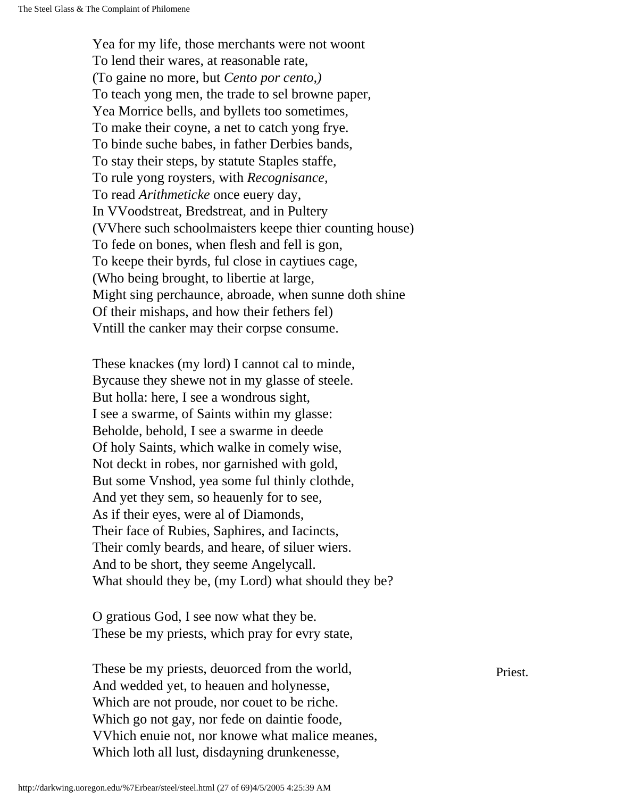Yea for my life, those merchants were not woont To lend their wares, at reasonable rate, (To gaine no more, but *Cento por cento,)* To teach yong men, the trade to sel browne paper, Yea Morrice bells, and byllets too sometimes, To make their coyne, a net to catch yong frye. To binde suche babes, in father Derbies bands, To stay their steps, by statute Staples staffe, To rule yong roysters, with *Recognisance,* To read *Arithmeticke* once euery day, In VVoodstreat, Bredstreat, and in Pultery (VVhere such schoolmaisters keepe thier counting house) To fede on bones, when flesh and fell is gon, To keepe their byrds, ful close in caytiues cage, (Who being brought, to libertie at large, Might sing perchaunce, abroade, when sunne doth shine Of their mishaps, and how their fethers fel) Vntill the canker may their corpse consume.

These knackes (my lord) I cannot cal to minde, Bycause they shewe not in my glasse of steele. But holla: here, I see a wondrous sight, I see a swarme, of Saints within my glasse: Beholde, behold, I see a swarme in deede Of holy Saints, which walke in comely wise, Not deckt in robes, nor garnished with gold, But some Vnshod, yea some ful thinly clothde, And yet they sem, so heauenly for to see, As if their eyes, were al of Diamonds, Their face of Rubies, Saphires, and Iacincts, Their comly beards, and heare, of siluer wiers. And to be short, they seeme Angelycall. What should they be, (my Lord) what should they be?

O gratious God, I see now what they be. These be my priests, which pray for evry state,

These be my priests, deuorced from the world, Priest. And wedded yet, to heauen and holynesse, Which are not proude, nor couet to be riche. Which go not gay, nor fede on daintie foode, VVhich enuie not, nor knowe what malice meanes, Which loth all lust, disdayning drunkenesse,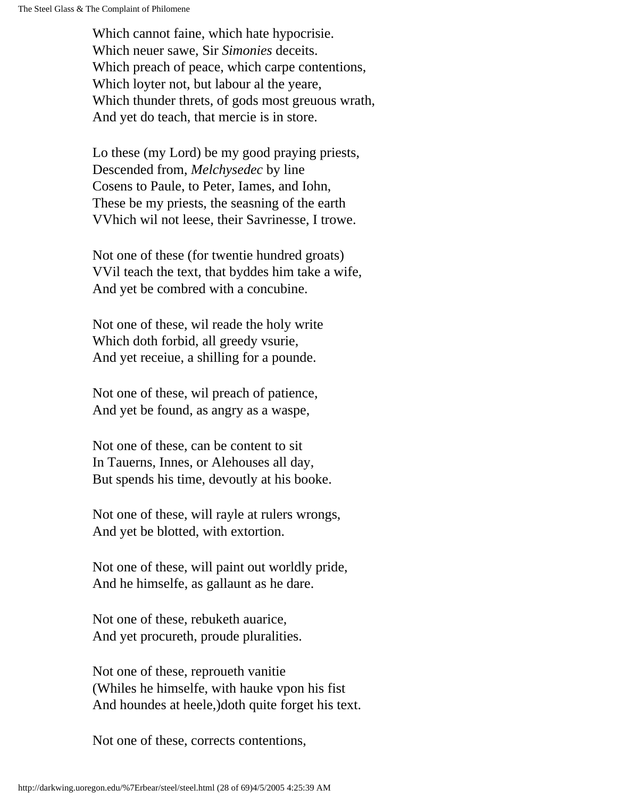Which cannot faine, which hate hypocrisie. Which neuer sawe, Sir *Simonies* deceits. Which preach of peace, which carpe contentions, Which loyter not, but labour al the yeare, Which thunder threts, of gods most greuous wrath, And yet do teach, that mercie is in store.

Lo these (my Lord) be my good praying priests, Descended from, *Melchysedec* by line Cosens to Paule, to Peter, Iames, and Iohn, These be my priests, the seasning of the earth VVhich wil not leese, their Savrinesse, I trowe.

Not one of these (for twentie hundred groats) VVil teach the text, that byddes him take a wife, And yet be combred with a concubine.

Not one of these, wil reade the holy write Which doth forbid, all greedy vsurie, And yet receiue, a shilling for a pounde.

Not one of these, wil preach of patience, And yet be found, as angry as a waspe,

Not one of these, can be content to sit In Tauerns, Innes, or Alehouses all day, But spends his time, devoutly at his booke.

Not one of these, will rayle at rulers wrongs, And yet be blotted, with extortion.

Not one of these, will paint out worldly pride, And he himselfe, as gallaunt as he dare.

Not one of these, rebuketh auarice, And yet procureth, proude pluralities.

Not one of these, reproueth vanitie (Whiles he himselfe, with hauke vpon his fist And houndes at heele,)doth quite forget his text.

Not one of these, corrects contentions,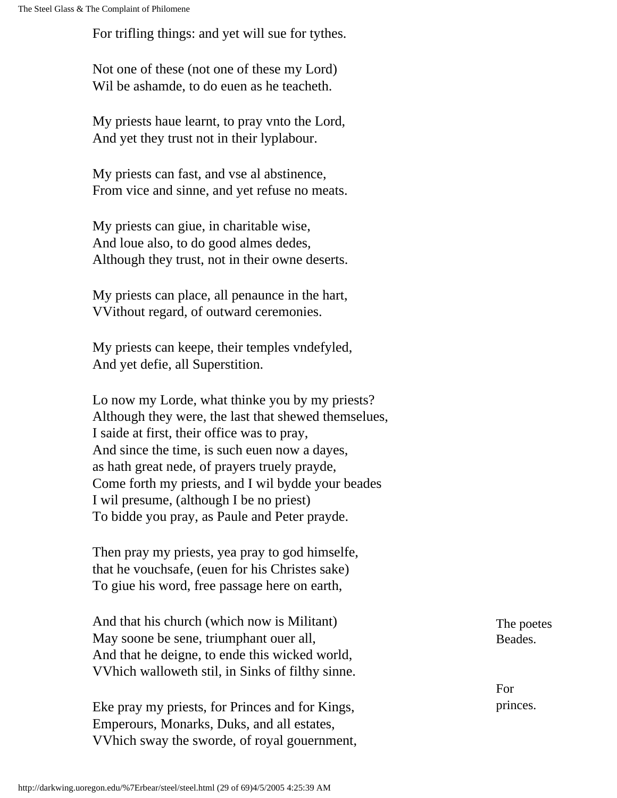For trifling things: and yet will sue for tythes.

Not one of these (not one of these my Lord) Wil be ashamde, to do euen as he teacheth.

My priests haue learnt, to pray vnto the Lord, And yet they trust not in their lyplabour.

My priests can fast, and vse al abstinence, From vice and sinne, and yet refuse no meats.

My priests can giue, in charitable wise, And loue also, to do good almes dedes, Although they trust, not in their owne deserts.

My priests can place, all penaunce in the hart, VVithout regard, of outward ceremonies.

My priests can keepe, their temples vndefyled, And yet defie, all Superstition.

Lo now my Lorde, what thinke you by my priests? Although they were, the last that shewed themselues, I saide at first, their office was to pray, And since the time, is such euen now a dayes, as hath great nede, of prayers truely prayde, Come forth my priests, and I wil bydde your beades I wil presume, (although I be no priest) To bidde you pray, as Paule and Peter prayde.

Then pray my priests, yea pray to god himselfe, that he vouchsafe, (euen for his Christes sake) To giue his word, free passage here on earth,

And that his church (which now is Militant) May soone be sene, triumphant ouer all, And that he deigne, to ende this wicked world, VVhich walloweth stil, in Sinks of filthy sinne.

Eke pray my priests, for Princes and for Kings, Emperours, Monarks, Duks, and all estates, VVhich sway the sworde, of royal gouernment, The poetes Beades.

For princes.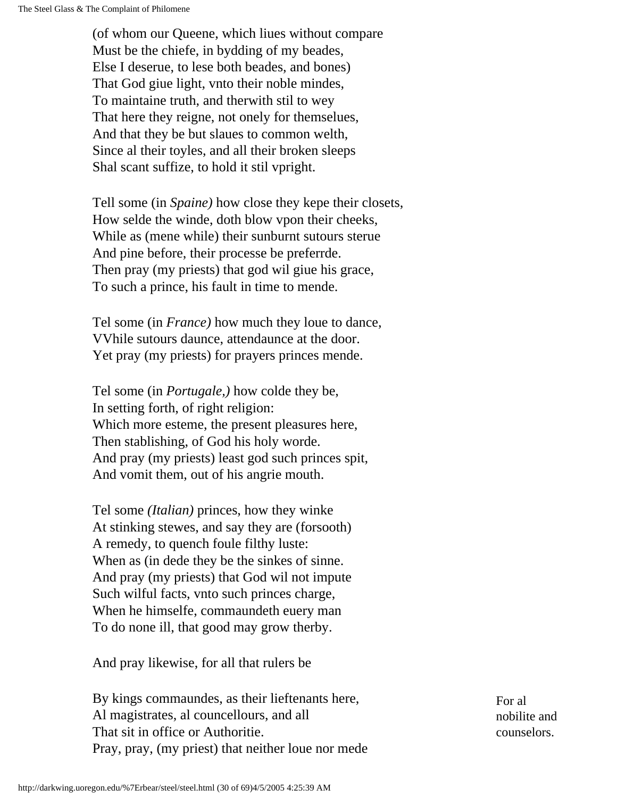(of whom our Queene, which liues without compare Must be the chiefe, in bydding of my beades, Else I deserue, to lese both beades, and bones) That God giue light, vnto their noble mindes, To maintaine truth, and therwith stil to wey That here they reigne, not onely for themselues, And that they be but slaues to common welth, Since al their toyles, and all their broken sleeps Shal scant suffize, to hold it stil vpright.

Tell some (in *Spaine)* how close they kepe their closets, How selde the winde, doth blow vpon their cheeks, While as (mene while) their sunburnt sutours sterue And pine before, their processe be preferrde. Then pray (my priests) that god wil giue his grace, To such a prince, his fault in time to mende.

Tel some (in *France)* how much they loue to dance, VVhile sutours daunce, attendaunce at the door. Yet pray (my priests) for prayers princes mende.

Tel some (in *Portugale,)* how colde they be, In setting forth, of right religion: Which more esteme, the present pleasures here, Then stablishing, of God his holy worde. And pray (my priests) least god such princes spit, And vomit them, out of his angrie mouth.

Tel some *(Italian)* princes, how they winke At stinking stewes, and say they are (forsooth) A remedy, to quench foule filthy luste: When as (in dede they be the sinkes of sinne. And pray (my priests) that God wil not impute Such wilful facts, vnto such princes charge, When he himselfe, commaundeth euery man To do none ill, that good may grow therby.

And pray likewise, for all that rulers be

By kings commaundes, as their lieftenants here, Al magistrates, al councellours, and all That sit in office or Authoritie. Pray, pray, (my priest) that neither loue nor mede For al nobilite and counselors.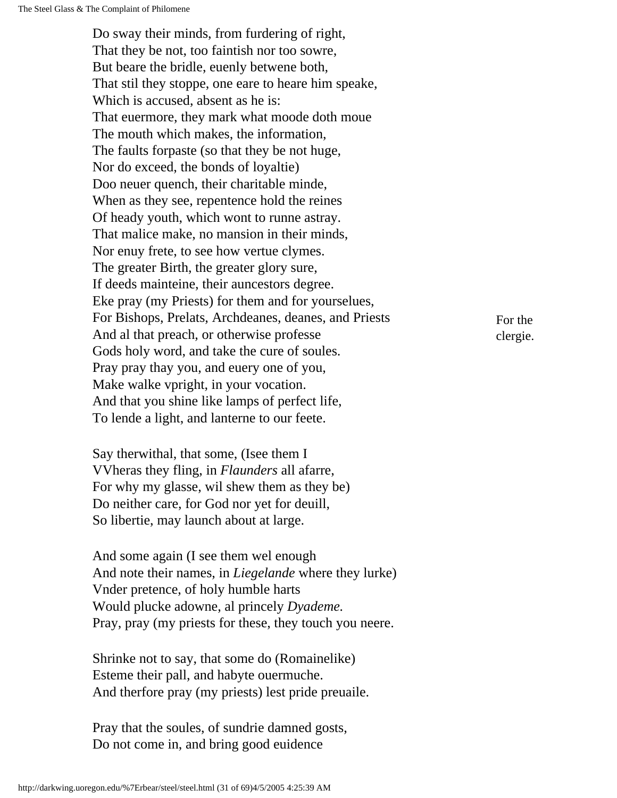Do sway their minds, from furdering of right, That they be not, too faintish nor too sowre, But beare the bridle, euenly betwene both, That stil they stoppe, one eare to heare him speake, Which is accused, absent as he is: That euermore, they mark what moode doth moue The mouth which makes, the information, The faults forpaste (so that they be not huge, Nor do exceed, the bonds of loyaltie) Doo neuer quench, their charitable minde, When as they see, repentence hold the reines Of heady youth, which wont to runne astray. That malice make, no mansion in their minds, Nor enuy frete, to see how vertue clymes. The greater Birth, the greater glory sure, If deeds mainteine, their auncestors degree. Eke pray (my Priests) for them and for yourselues, For Bishops, Prelats, Archdeanes, deanes, and Priests And al that preach, or otherwise professe Gods holy word, and take the cure of soules. Pray pray thay you, and euery one of you, Make walke vpright, in your vocation. And that you shine like lamps of perfect life, To lende a light, and lanterne to our feete.

Say therwithal, that some, (Isee them I VVheras they fling, in *Flaunders* all afarre, For why my glasse, wil shew them as they be) Do neither care, for God nor yet for deuill, So libertie, may launch about at large.

And some again (I see them wel enough And note their names, in *Liegelande* where they lurke) Vnder pretence, of holy humble harts Would plucke adowne, al princely *Dyademe.* Pray, pray (my priests for these, they touch you neere.

Shrinke not to say, that some do (Romainelike) Esteme their pall, and habyte ouermuche. And therfore pray (my priests) lest pride preuaile.

Pray that the soules, of sundrie damned gosts, Do not come in, and bring good euidence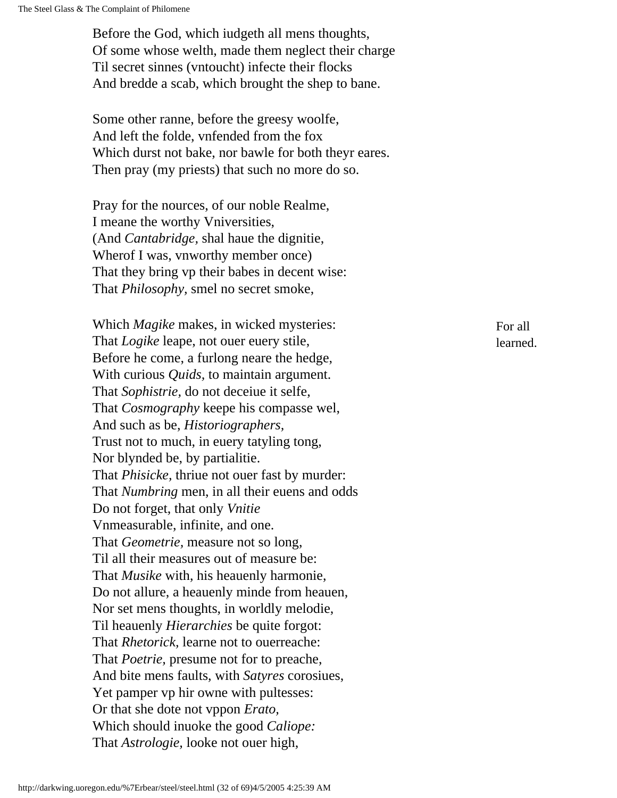Before the God, which iudgeth all mens thoughts, Of some whose welth, made them neglect their charge Til secret sinnes (vntoucht) infecte their flocks And bredde a scab, which brought the shep to bane.

Some other ranne, before the greesy woolfe, And left the folde, vnfended from the fox Which durst not bake, nor bawle for both theyr eares. Then pray (my priests) that such no more do so.

Pray for the nources, of our noble Realme, I meane the worthy Vniversities, (And *Cantabridge,* shal haue the dignitie, Wherof I was, vnworthy member once) That they bring vp their babes in decent wise: That *Philosophy,* smel no secret smoke,

Which *Magike* makes, in wicked mysteries: That *Logike* leape, not ouer euery stile, Before he come, a furlong neare the hedge, With curious *Quids,* to maintain argument. That *Sophistrie,* do not deceiue it selfe, That *Cosmography* keepe his compasse wel, And such as be, *Historiographers,*  Trust not to much, in euery tatyling tong, Nor blynded be, by partialitie. That *Phisicke,* thriue not ouer fast by murder: That *Numbring* men, in all their euens and odds Do not forget, that only *Vnitie* Vnmeasurable, infinite, and one. That *Geometrie,* measure not so long, Til all their measures out of measure be: That *Musike* with, his heauenly harmonie, Do not allure, a heauenly minde from heauen, Nor set mens thoughts, in worldly melodie, Til heauenly *Hierarchies* be quite forgot: That *Rhetorick,* learne not to ouerreache: That *Poetrie,* presume not for to preache, And bite mens faults, with *Satyres* corosiues, Yet pamper vp hir owne with pultesses: Or that she dote not vppon *Erato,*  Which should inuoke the good *Caliope:* That *Astrologie,* looke not ouer high,

For all learned.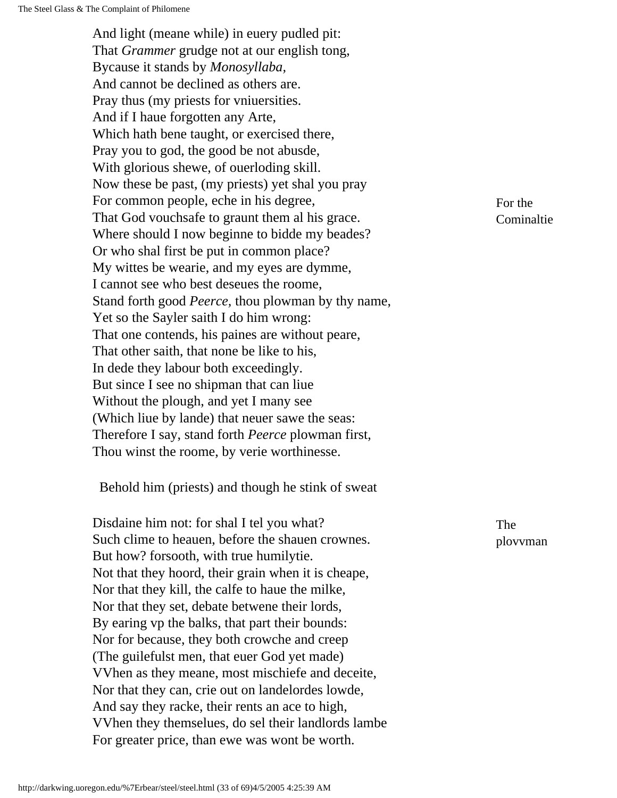And light (meane while) in euery pudled pit: That *Grammer* grudge not at our english tong, Bycause it stands by *Monosyllaba,* And cannot be declined as others are. Pray thus (my priests for vniuersities. And if I haue forgotten any Arte, Which hath bene taught, or exercised there, Pray you to god, the good be not abusde, With glorious shewe, of ouerloding skill. Now these be past, (my priests) yet shal you pray For common people, eche in his degree, That God vouchsafe to graunt them al his grace. Where should I now beginne to bidde my beades? Or who shal first be put in common place? My wittes be wearie, and my eyes are dymme, I cannot see who best deseues the roome, Stand forth good *Peerce,* thou plowman by thy name, Yet so the Sayler saith I do him wrong: That one contends, his paines are without peare, That other saith, that none be like to his, In dede they labour both exceedingly. But since I see no shipman that can liue Without the plough, and yet I many see (Which liue by lande) that neuer sawe the seas: Therefore I say, stand forth *Peerce* plowman first, Thou winst the roome, by verie worthinesse.

Behold him (priests) and though he stink of sweat

Disdaine him not: for shal I tel you what? Such clime to heauen, before the shauen crownes. But how? forsooth, with true humilytie. Not that they hoord, their grain when it is cheape, Nor that they kill, the calfe to haue the milke, Nor that they set, debate betwene their lords, By earing vp the balks, that part their bounds: Nor for because, they both crowche and creep (The guilefulst men, that euer God yet made) VVhen as they meane, most mischiefe and deceite, Nor that they can, crie out on landelordes lowde, And say they racke, their rents an ace to high, VVhen they themselues, do sel their landlords lambe For greater price, than ewe was wont be worth.

For the Cominaltie

The plovvman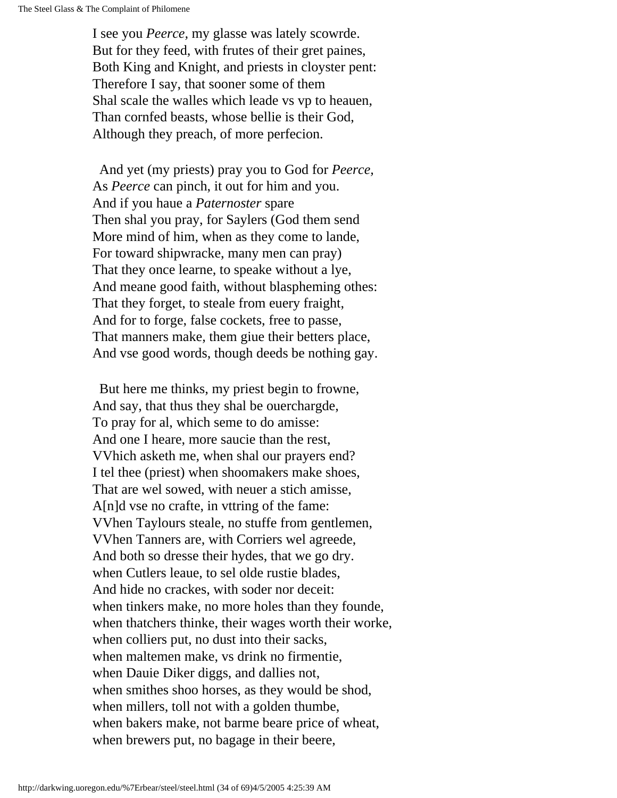I see you *Peerce,* my glasse was lately scowrde. But for they feed, with frutes of their gret paines, Both King and Knight, and priests in cloyster pent: Therefore I say, that sooner some of them Shal scale the walles which leade vs vp to heauen, Than cornfed beasts, whose bellie is their God, Although they preach, of more perfecion.

 And yet (my priests) pray you to God for *Peerce,* As *Peerce* can pinch, it out for him and you. And if you haue a *Paternoster* spare Then shal you pray, for Saylers (God them send More mind of him, when as they come to lande, For toward shipwracke, many men can pray) That they once learne, to speake without a lye, And meane good faith, without blaspheming othes: That they forget, to steale from euery fraight, And for to forge, false cockets, free to passe, That manners make, them giue their betters place, And vse good words, though deeds be nothing gay.

 But here me thinks, my priest begin to frowne, And say, that thus they shal be ouerchargde, To pray for al, which seme to do amisse: And one I heare, more saucie than the rest, VVhich asketh me, when shal our prayers end? I tel thee (priest) when shoomakers make shoes, That are wel sowed, with neuer a stich amisse, A[n]d vse no crafte, in vttring of the fame: VVhen Taylours steale, no stuffe from gentlemen, VVhen Tanners are, with Corriers wel agreede, And both so dresse their hydes, that we go dry. when Cutlers leaue, to sel olde rustie blades, And hide no crackes, with soder nor deceit: when tinkers make, no more holes than they founde, when thatchers thinke, their wages worth their worke, when colliers put, no dust into their sacks, when maltemen make, vs drink no firmentie, when Dauie Diker diggs, and dallies not, when smithes shoo horses, as they would be shod, when millers, toll not with a golden thumbe, when bakers make, not barme beare price of wheat, when brewers put, no bagage in their beere,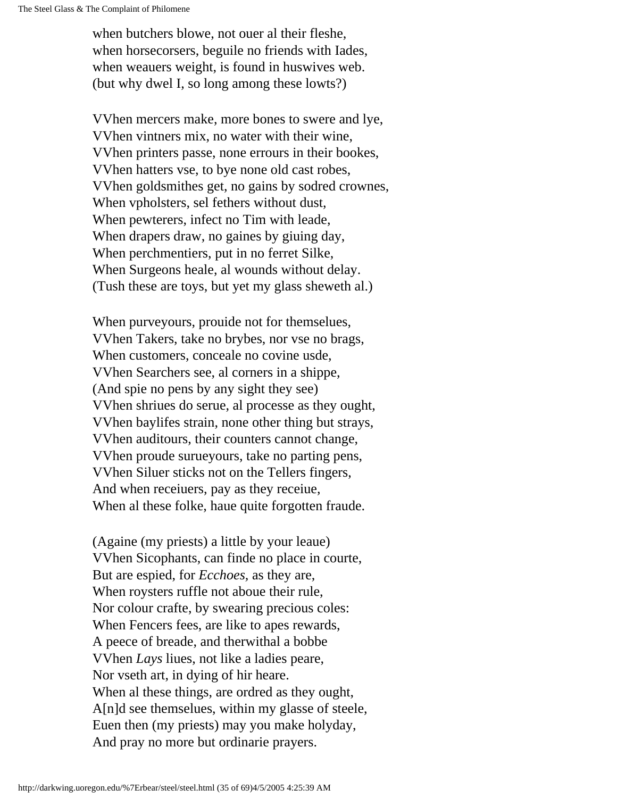when butchers blowe, not ouer al their fleshe, when horsecorsers, beguile no friends with Iades, when weauers weight, is found in huswives web. (but why dwel I, so long among these lowts?)

VVhen mercers make, more bones to swere and lye, VVhen vintners mix, no water with their wine, VVhen printers passe, none errours in their bookes, VVhen hatters vse, to bye none old cast robes, VVhen goldsmithes get, no gains by sodred crownes, When vpholsters, sel fethers without dust, When pewterers, infect no Tim with leade, When drapers draw, no gaines by giuing day, When perchmentiers, put in no ferret Silke, When Surgeons heale, al wounds without delay. (Tush these are toys, but yet my glass sheweth al.)

When purveyours, prouide not for themselues, VVhen Takers, take no brybes, nor vse no brags, When customers, conceale no covine usde, VVhen Searchers see, al corners in a shippe, (And spie no pens by any sight they see) VVhen shriues do serue, al processe as they ought, VVhen baylifes strain, none other thing but strays, VVhen auditours, their counters cannot change, VVhen proude surueyours, take no parting pens, VVhen Siluer sticks not on the Tellers fingers, And when receiuers, pay as they receiue, When al these folke, haue quite forgotten fraude.

(Againe (my priests) a little by your leaue) VVhen Sicophants, can finde no place in courte, But are espied, for *Ecchoes,* as they are, When roysters ruffle not aboue their rule, Nor colour crafte, by swearing precious coles: When Fencers fees, are like to apes rewards, A peece of breade, and therwithal a bobbe VVhen *Lays* liues, not like a ladies peare, Nor vseth art, in dying of hir heare. When al these things, are ordred as they ought, A[n]d see themselues, within my glasse of steele, Euen then (my priests) may you make holyday, And pray no more but ordinarie prayers.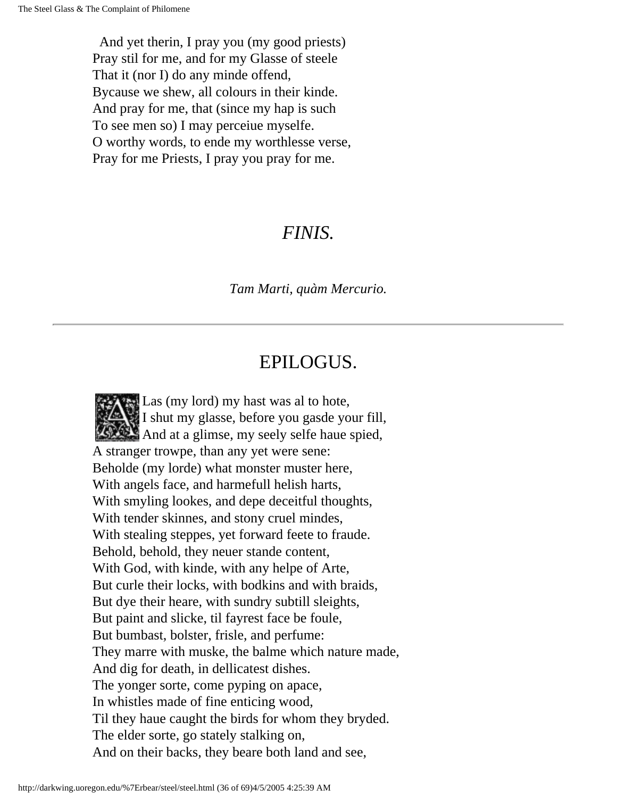And yet therin, I pray you (my good priests) Pray stil for me, and for my Glasse of steele That it (nor I) do any minde offend, Bycause we shew, all colours in their kinde. And pray for me, that (since my hap is such To see men so) I may perceiue myselfe. O worthy words, to ende my worthlesse verse, Pray for me Priests, I pray you pray for me.

#### *FINIS.*

#### *Tam Marti, quàm Mercurio.*

#### EPILOGUS.

Las (my lord) my hast was al to hote, I shut my glasse, before you gasde your fill, And at a glimse, my seely selfe haue spied, A stranger trowpe, than any yet were sene: Beholde (my lorde) what monster muster here, With angels face, and harmefull helish harts, With smyling lookes, and depe deceitful thoughts, With tender skinnes, and stony cruel mindes, With stealing steppes, yet forward feete to fraude. Behold, behold, they neuer stande content, With God, with kinde, with any helpe of Arte, But curle their locks, with bodkins and with braids, But dye their heare, with sundry subtill sleights, But paint and slicke, til fayrest face be foule, But bumbast, bolster, frisle, and perfume: They marre with muske, the balme which nature made, And dig for death, in dellicatest dishes. The yonger sorte, come pyping on apace, In whistles made of fine enticing wood, Til they haue caught the birds for whom they bryded. The elder sorte, go stately stalking on, And on their backs, they beare both land and see,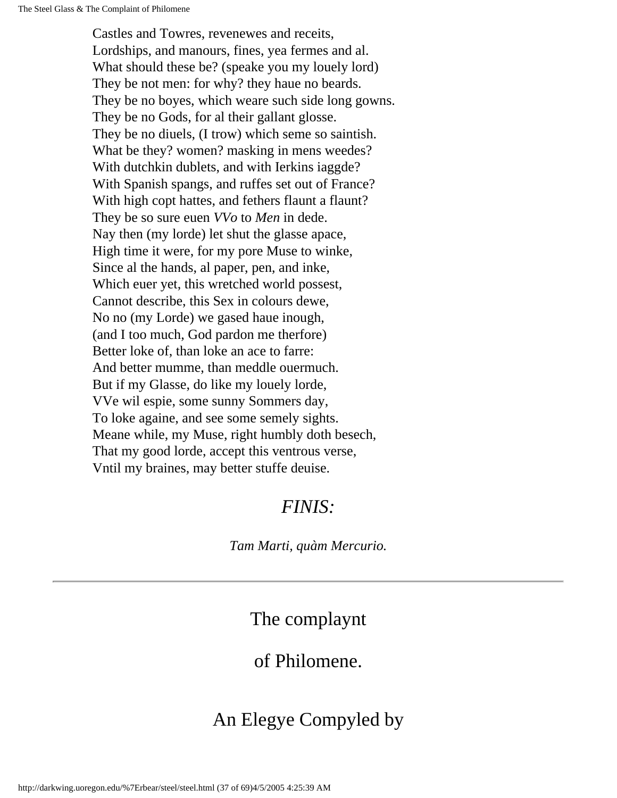Castles and Towres, revenewes and receits, Lordships, and manours, fines, yea fermes and al. What should these be? (speake you my louely lord) They be not men: for why? they haue no beards. They be no boyes, which weare such side long gowns. They be no Gods, for al their gallant glosse. They be no diuels, (I trow) which seme so saintish. What be they? women? masking in mens weedes? With dutchkin dublets, and with Ierkins iaggde? With Spanish spangs, and ruffes set out of France? With high copt hattes, and fethers flaunt a flaunt? They be so sure euen *VVo* to *Men* in dede. Nay then (my lorde) let shut the glasse apace, High time it were, for my pore Muse to winke, Since al the hands, al paper, pen, and inke, Which euer yet, this wretched world possest, Cannot describe, this Sex in colours dewe, No no (my Lorde) we gased haue inough, (and I too much, God pardon me therfore) Better loke of, than loke an ace to farre: And better mumme, than meddle ouermuch. But if my Glasse, do like my louely lorde, VVe wil espie, some sunny Sommers day, To loke againe, and see some semely sights. Meane while, my Muse, right humbly doth besech, That my good lorde, accept this ventrous verse, Vntil my braines, may better stuffe deuise.

#### *FINIS:*

*Tam Marti, quàm Mercurio.*

The complaynt

#### of Philomene.

### <span id="page-36-0"></span>An Elegye Compyled by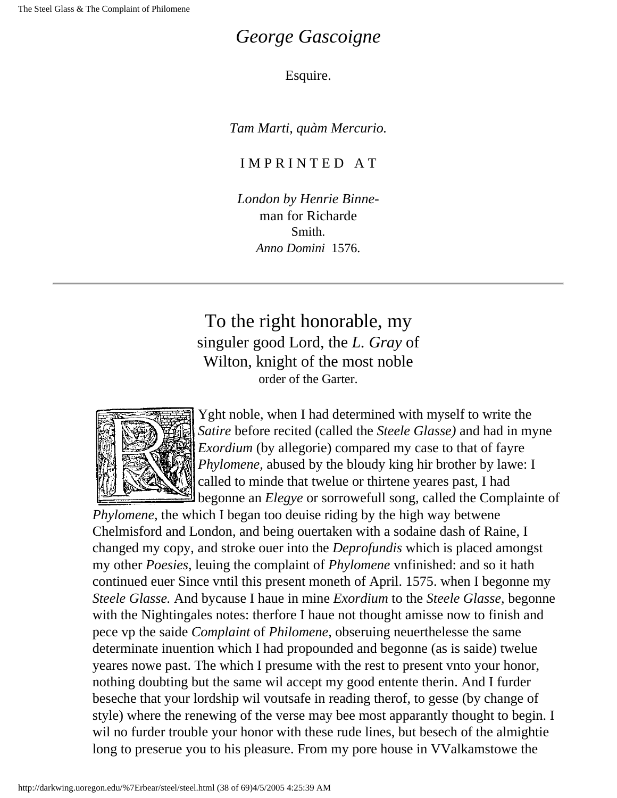#### *George Gascoigne*

#### Esquire.

*Tam Marti, quàm Mercurio.*

#### I M P R I N T E D A T

*London by Henrie Binne*man for Richarde Smith. *Anno Domini* 1576.

To the right honorable, my singuler good Lord, the *L. Gray* of Wilton, knight of the most noble order of the Garter.



Yght noble, when I had determined with myself to write the *Satire* before recited (called the *Steele Glasse)* and had in myne *Exordium* (by allegorie) compared my case to that of fayre *Phylomene,* abused by the bloudy king hir brother by lawe: I called to minde that twelue or thirtene yeares past, I had begonne an *Elegye* or sorrowefull song, called the Complainte of

*Phylomene,* the which I began too deuise riding by the high way betwene Chelmisford and London, and being ouertaken with a sodaine dash of Raine, I changed my copy, and stroke ouer into the *Deprofundis* which is placed amongst my other *Poesies,* leuing the complaint of *Phylomene* vnfinished: and so it hath continued euer Since vntil this present moneth of April. 1575. when I begonne my *Steele Glasse.* And bycause I haue in mine *Exordium* to the *Steele Glasse,* begonne with the Nightingales notes: therfore I haue not thought amisse now to finish and pece vp the saide *Complaint* of *Philomene,* obseruing neuerthelesse the same determinate inuention which I had propounded and begonne (as is saide) twelue yeares nowe past. The which I presume with the rest to present vnto your honor, nothing doubting but the same wil accept my good entente therin. And I furder beseche that your lordship wil voutsafe in reading therof, to gesse (by change of style) where the renewing of the verse may bee most apparantly thought to begin. I wil no furder trouble your honor with these rude lines, but besech of the almightie long to preserue you to his pleasure. From my pore house in VValkamstowe the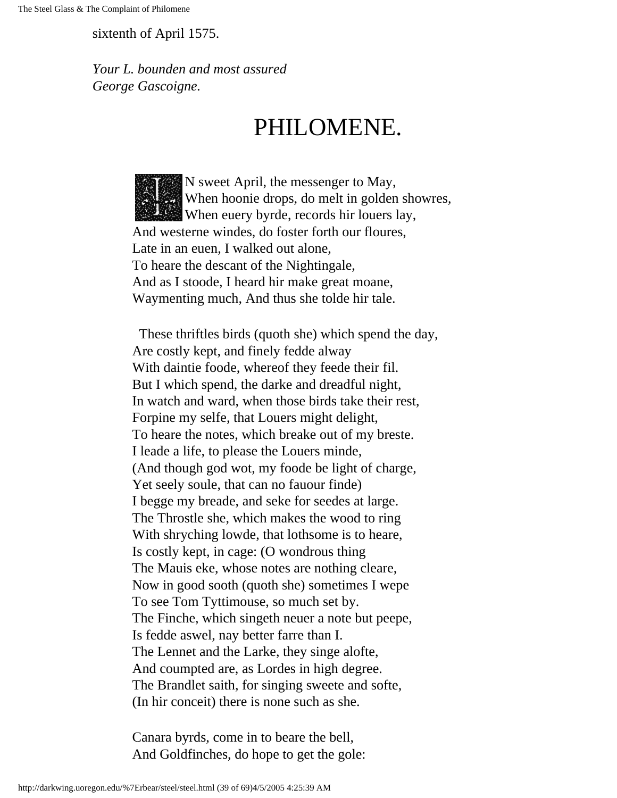sixtenth of April 1575.

*Your L. bounden and most assured George Gascoigne.*

# PHILOMENE.

N sweet April, the messenger to May, When hoonie drops, do melt in golden showres, When euery byrde, records hir louers lay, And westerne windes, do foster forth our floures, Late in an euen, I walked out alone, To heare the descant of the Nightingale, And as I stoode, I heard hir make great moane, Waymenting much, And thus she tolde hir tale.

 These thriftles birds (quoth she) which spend the day, Are costly kept, and finely fedde alway With daintie foode, whereof they feede their fil. But I which spend, the darke and dreadful night, In watch and ward, when those birds take their rest, Forpine my selfe, that Louers might delight, To heare the notes, which breake out of my breste. I leade a life, to please the Louers minde, (And though god wot, my foode be light of charge, Yet seely soule, that can no fauour finde) I begge my breade, and seke for seedes at large. The Throstle she, which makes the wood to ring With shryching lowde, that lothsome is to heare, Is costly kept, in cage: (O wondrous thing The Mauis eke, whose notes are nothing cleare, Now in good sooth (quoth she) sometimes I wepe To see Tom Tyttimouse, so much set by. The Finche, which singeth neuer a note but peepe, Is fedde aswel, nay better farre than I. The Lennet and the Larke, they singe alofte, And coumpted are, as Lordes in high degree. The Brandlet saith, for singing sweete and softe, (In hir conceit) there is none such as she.

Canara byrds, come in to beare the bell, And Goldfinches, do hope to get the gole: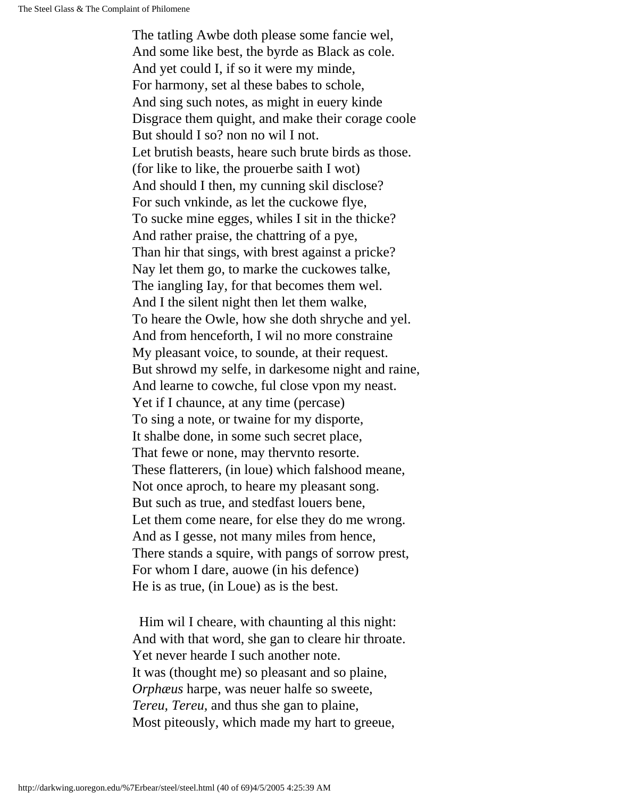The tatling Awbe doth please some fancie wel, And some like best, the byrde as Black as cole. And yet could I, if so it were my minde, For harmony, set al these babes to schole, And sing such notes, as might in euery kinde Disgrace them quight, and make their corage coole But should I so? non no wil I not. Let brutish beasts, heare such brute birds as those. (for like to like, the prouerbe saith I wot) And should I then, my cunning skil disclose? For such vnkinde, as let the cuckowe flye, To sucke mine egges, whiles I sit in the thicke? And rather praise, the chattring of a pye, Than hir that sings, with brest against a pricke? Nay let them go, to marke the cuckowes talke, The iangling Iay, for that becomes them wel. And I the silent night then let them walke, To heare the Owle, how she doth shryche and yel. And from henceforth, I wil no more constraine My pleasant voice, to sounde, at their request. But shrowd my selfe, in darkesome night and raine, And learne to cowche, ful close vpon my neast. Yet if I chaunce, at any time (percase) To sing a note, or twaine for my disporte, It shalbe done, in some such secret place, That fewe or none, may thervnto resorte. These flatterers, (in loue) which falshood meane, Not once aproch, to heare my pleasant song. But such as true, and stedfast louers bene, Let them come neare, for else they do me wrong. And as I gesse, not many miles from hence, There stands a squire, with pangs of sorrow prest, For whom I dare, auowe (in his defence) He is as true, (in Loue) as is the best.

 Him wil I cheare, with chaunting al this night: And with that word, she gan to cleare hir throate. Yet never hearde I such another note. It was (thought me) so pleasant and so plaine, *Orphæus* harpe, was neuer halfe so sweete, *Tereu, Tereu,* and thus she gan to plaine, Most piteously, which made my hart to greeue,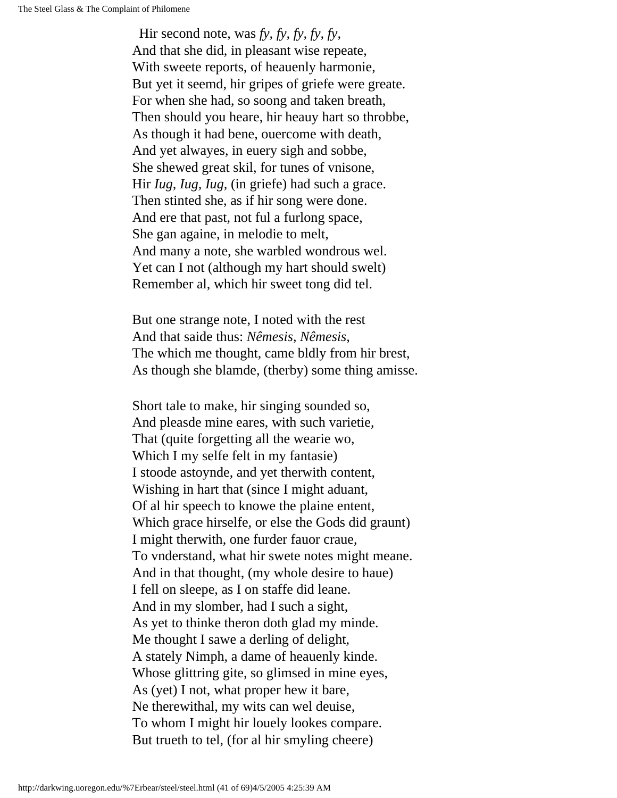Hir second note, was *fy, fy, fy, fy, fy,* And that she did, in pleasant wise repeate, With sweete reports, of heauenly harmonie, But yet it seemd, hir gripes of griefe were greate. For when she had, so soong and taken breath, Then should you heare, hir heauy hart so throbbe, As though it had bene, ouercome with death, And yet alwayes, in euery sigh and sobbe, She shewed great skil, for tunes of vnisone, Hir *Iug, Iug, Iug,* (in griefe) had such a grace. Then stinted she, as if hir song were done. And ere that past, not ful a furlong space, She gan againe, in melodie to melt, And many a note, she warbled wondrous wel. Yet can I not (although my hart should swelt) Remember al, which hir sweet tong did tel.

But one strange note, I noted with the rest And that saide thus: *Nêmesis, Nêmesis,* The which me thought, came bldly from hir brest, As though she blamde, (therby) some thing amisse.

Short tale to make, hir singing sounded so, And pleasde mine eares, with such varietie, That (quite forgetting all the wearie wo, Which I my selfe felt in my fantasie) I stoode astoynde, and yet therwith content, Wishing in hart that (since I might aduant, Of al hir speech to knowe the plaine entent, Which grace hirselfe, or else the Gods did graunt) I might therwith, one furder fauor craue, To vnderstand, what hir swete notes might meane. And in that thought, (my whole desire to haue) I fell on sleepe, as I on staffe did leane. And in my slomber, had I such a sight, As yet to thinke theron doth glad my minde. Me thought I sawe a derling of delight, A stately Nimph, a dame of heauenly kinde. Whose glittring gite, so glimsed in mine eyes, As (yet) I not, what proper hew it bare, Ne therewithal, my wits can wel deuise, To whom I might hir louely lookes compare. But trueth to tel, (for al hir smyling cheere)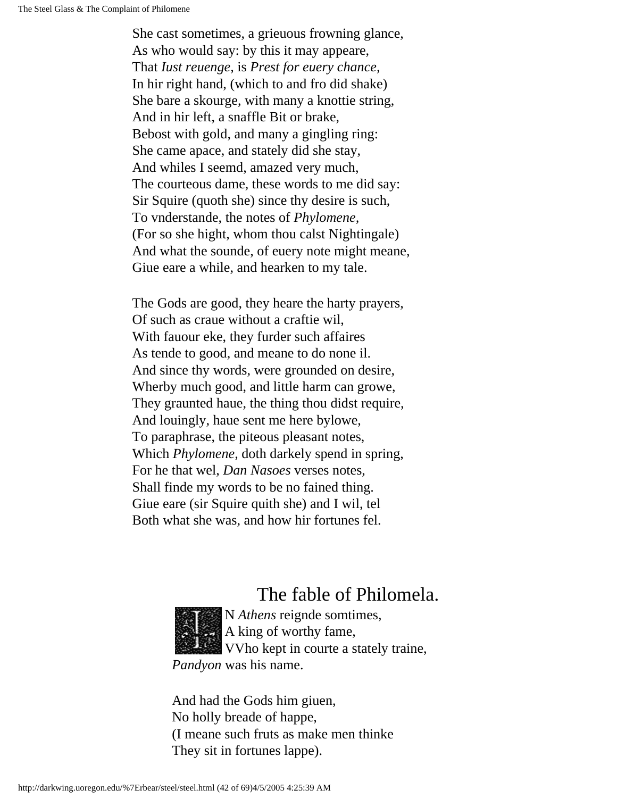She cast sometimes, a grieuous frowning glance, As who would say: by this it may appeare, That *Iust reuenge,* is *Prest for euery chance,* In hir right hand, (which to and fro did shake) She bare a skourge, with many a knottie string, And in hir left, a snaffle Bit or brake, Bebost with gold, and many a gingling ring: She came apace, and stately did she stay, And whiles I seemd, amazed very much, The courteous dame, these words to me did say: Sir Squire (quoth she) since thy desire is such, To vnderstande, the notes of *Phylomene,* (For so she hight, whom thou calst Nightingale) And what the sounde, of euery note might meane, Giue eare a while, and hearken to my tale.

The Gods are good, they heare the harty prayers, Of such as craue without a craftie wil, With fauour eke, they furder such affaires As tende to good, and meane to do none il. And since thy words, were grounded on desire, Wherby much good, and little harm can growe, They graunted haue, the thing thou didst require, And louingly, haue sent me here bylowe, To paraphrase, the piteous pleasant notes, Which *Phylomene,* doth darkely spend in spring, For he that wel, *Dan Nasoes* verses notes, Shall finde my words to be no fained thing. Giue eare (sir Squire quith she) and I wil, tel Both what she was, and how hir fortunes fel.

#### The fable of Philomela.



N *Athens* reignde somtimes, A king of worthy fame, VVho kept in courte a stately traine, *Pandyon* was his name.

And had the Gods him giuen, No holly breade of happe, (I meane such fruts as make men thinke They sit in fortunes lappe).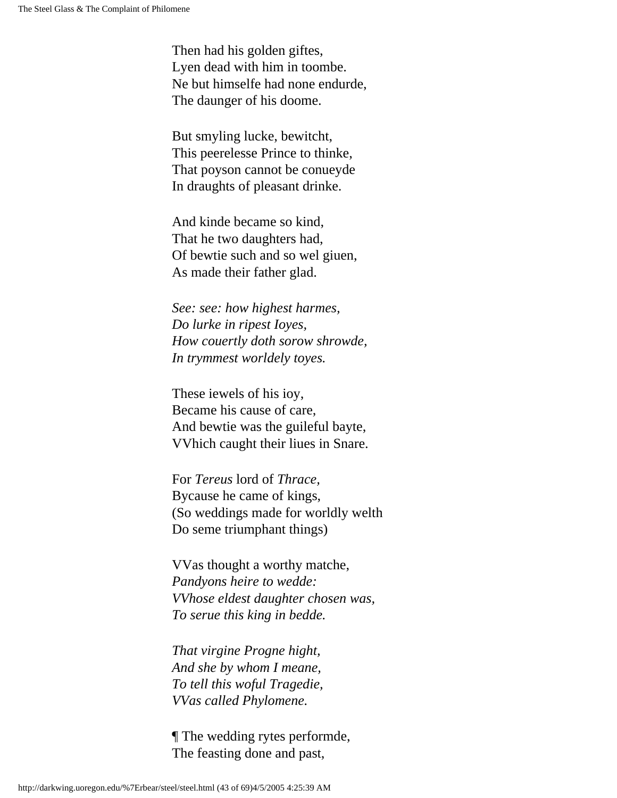Then had his golden giftes, Lyen dead with him in toombe. Ne but himselfe had none endurde, The daunger of his doome.

But smyling lucke, bewitcht, This peerelesse Prince to thinke, That poyson cannot be conueyde In draughts of pleasant drinke.

And kinde became so kind, That he two daughters had, Of bewtie such and so wel giuen, As made their father glad.

*See: see: how highest harmes, Do lurke in ripest Ioyes, How couertly doth sorow shrowde, In trymmest worldely toyes.*

These iewels of his ioy, Became his cause of care, And bewtie was the guileful bayte, VVhich caught their liues in Snare.

For *Tereus* lord of *Thrace,* Bycause he came of kings, (So weddings made for worldly welth Do seme triumphant things)

VVas thought a worthy matche, *Pandyons heire to wedde: VVhose eldest daughter chosen was, To serue this king in bedde.*

*That virgine Progne hight, And she by whom I meane, To tell this woful Tragedie, VVas called Phylomene.*

¶ The wedding rytes performde, The feasting done and past,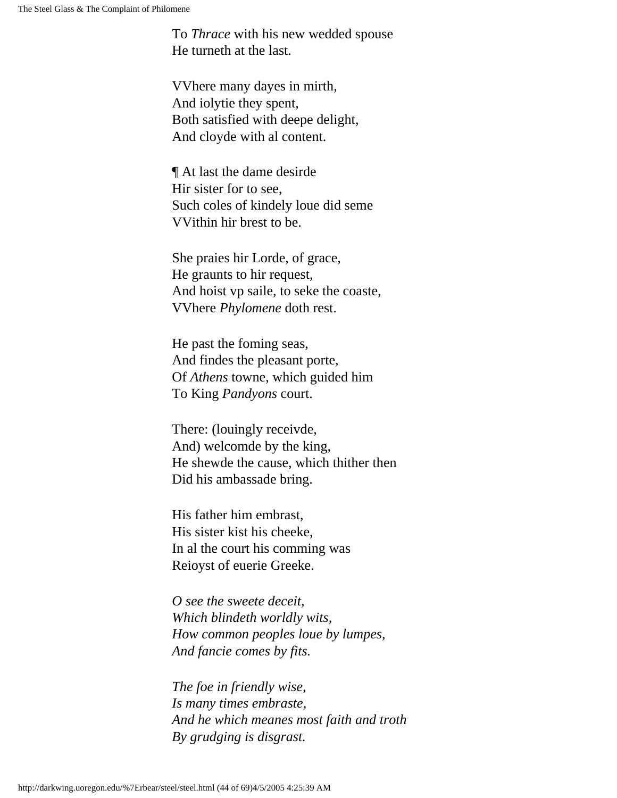To *Thrace* with his new wedded spouse He turneth at the last.

VVhere many dayes in mirth, And iolytie they spent, Both satisfied with deepe delight, And cloyde with al content.

¶ At last the dame desirde Hir sister for to see, Such coles of kindely loue did seme VVithin hir brest to be.

She praies hir Lorde, of grace, He graunts to hir request, And hoist vp saile, to seke the coaste, VVhere *Phylomene* doth rest.

He past the foming seas, And findes the pleasant porte, Of *Athens* towne, which guided him To King *Pandyons* court.

There: (louingly receivde, And) welcomde by the king, He shewde the cause, which thither then Did his ambassade bring.

His father him embrast, His sister kist his cheeke, In al the court his comming was Reioyst of euerie Greeke.

*O see the sweete deceit, Which blindeth worldly wits, How common peoples loue by lumpes, And fancie comes by fits.*

*The foe in friendly wise, Is many times embraste, And he which meanes most faith and troth By grudging is disgrast.*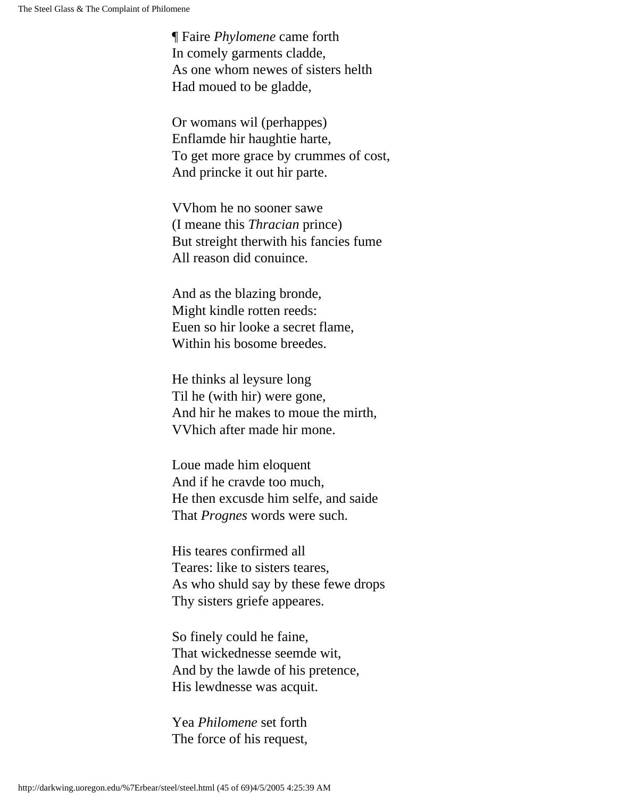¶ Faire *Phylomene* came forth In comely garments cladde, As one whom newes of sisters helth Had moued to be gladde,

Or womans wil (perhappes) Enflamde hir haughtie harte, To get more grace by crummes of cost, And princke it out hir parte.

VVhom he no sooner sawe (I meane this *Thracian* prince) But streight therwith his fancies fume All reason did conuince.

And as the blazing bronde, Might kindle rotten reeds: Euen so hir looke a secret flame, Within his bosome breedes.

He thinks al leysure long Til he (with hir) were gone, And hir he makes to moue the mirth, VVhich after made hir mone.

Loue made him eloquent And if he cravde too much, He then excusde him selfe, and saide That *Prognes* words were such.

His teares confirmed all Teares: like to sisters teares, As who shuld say by these fewe drops Thy sisters griefe appeares.

So finely could he faine, That wickednesse seemde wit, And by the lawde of his pretence, His lewdnesse was acquit.

Yea *Philomene* set forth The force of his request,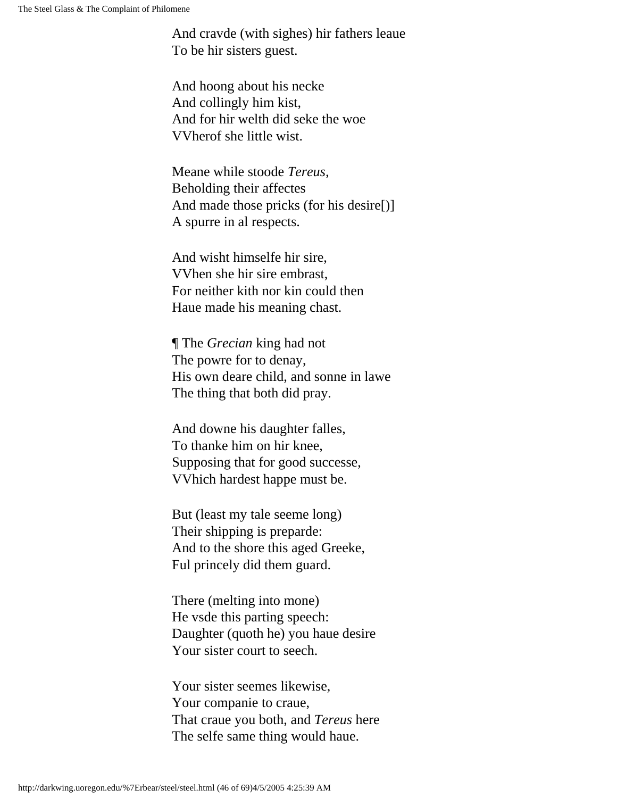And cravde (with sighes) hir fathers leaue To be hir sisters guest.

And hoong about his necke And collingly him kist, And for hir welth did seke the woe VVherof she little wist.

Meane while stoode *Tereus,* Beholding their affectes And made those pricks (for his desire[)] A spurre in al respects.

And wisht himselfe hir sire, VVhen she hir sire embrast, For neither kith nor kin could then Haue made his meaning chast.

¶ The *Grecian* king had not The powre for to denay, His own deare child, and sonne in lawe The thing that both did pray.

And downe his daughter falles, To thanke him on hir knee, Supposing that for good successe, VVhich hardest happe must be.

But (least my tale seeme long) Their shipping is preparde: And to the shore this aged Greeke, Ful princely did them guard.

There (melting into mone) He vsde this parting speech: Daughter (quoth he) you haue desire Your sister court to seech.

Your sister seemes likewise, Your companie to craue, That craue you both, and *Tereus* here The selfe same thing would haue.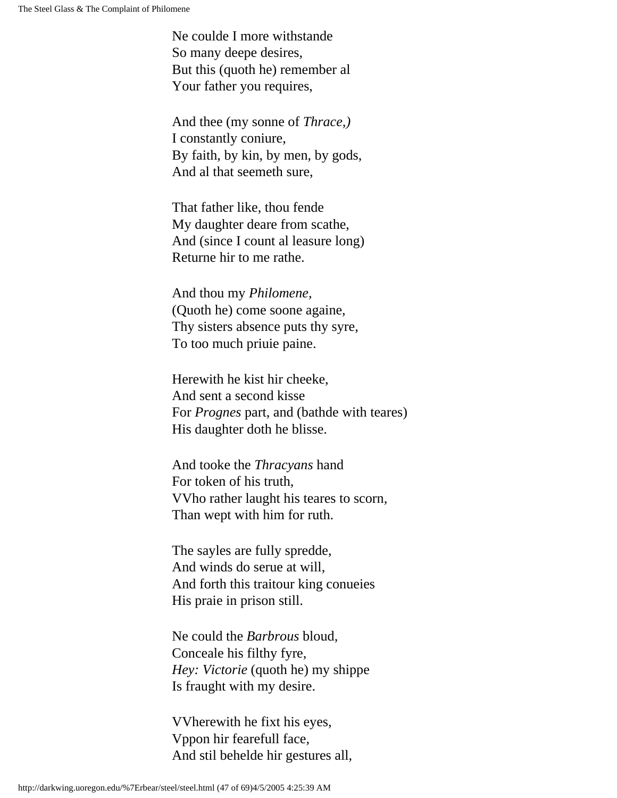Ne coulde I more withstande So many deepe desires, But this (quoth he) remember al Your father you requires,

And thee (my sonne of *Thrace,)* I constantly coniure, By faith, by kin, by men, by gods, And al that seemeth sure,

That father like, thou fende My daughter deare from scathe, And (since I count al leasure long) Returne hir to me rathe.

And thou my *Philomene,* (Quoth he) come soone againe, Thy sisters absence puts thy syre, To too much priuie paine.

Herewith he kist hir cheeke, And sent a second kisse For *Prognes* part, and (bathde with teares) His daughter doth he blisse.

And tooke the *Thracyans* hand For token of his truth, VVho rather laught his teares to scorn, Than wept with him for ruth.

The sayles are fully spredde, And winds do serue at will, And forth this traitour king conueies His praie in prison still.

Ne could the *Barbrous* bloud, Conceale his filthy fyre, *Hey: Victorie* (quoth he) my shippe Is fraught with my desire.

VVherewith he fixt his eyes, Vppon hir fearefull face, And stil behelde hir gestures all,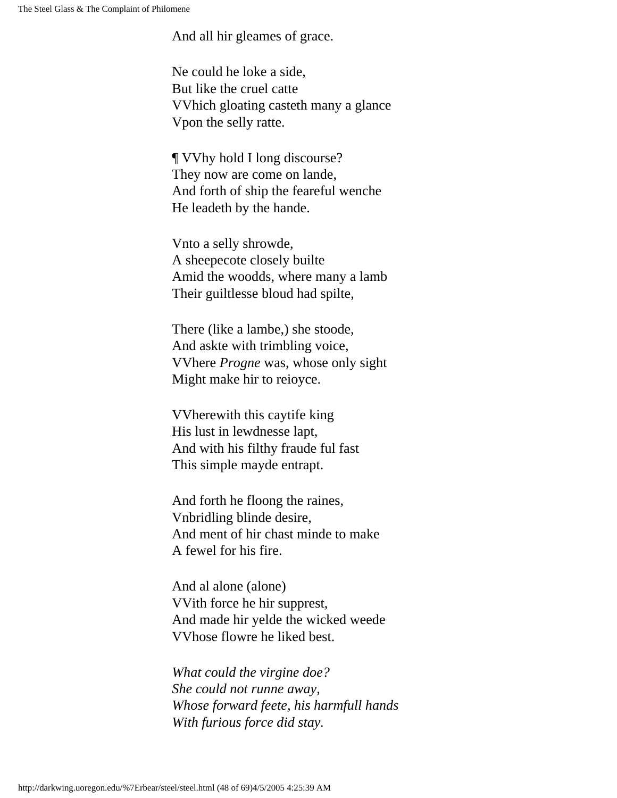And all hir gleames of grace.

Ne could he loke a side, But like the cruel catte VVhich gloating casteth many a glance Vpon the selly ratte.

¶ VVhy hold I long discourse? They now are come on lande, And forth of ship the feareful wenche He leadeth by the hande.

Vnto a selly shrowde, A sheepecote closely builte Amid the woodds, where many a lamb Their guiltlesse bloud had spilte,

There (like a lambe,) she stoode, And askte with trimbling voice, VVhere *Progne* was, whose only sight Might make hir to reioyce.

VVherewith this caytife king His lust in lewdnesse lapt, And with his filthy fraude ful fast This simple mayde entrapt.

And forth he floong the raines, Vnbridling blinde desire, And ment of hir chast minde to make A fewel for his fire.

And al alone (alone) VVith force he hir supprest, And made hir yelde the wicked weede VVhose flowre he liked best.

*What could the virgine doe? She could not runne away, Whose forward feete, his harmfull hands With furious force did stay.*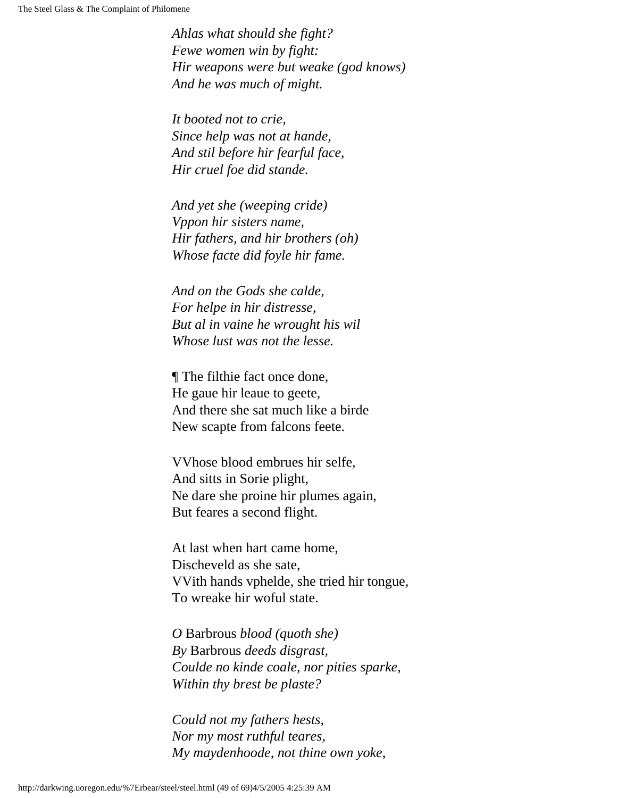*Ahlas what should she fight? Fewe women win by fight: Hir weapons were but weake (god knows) And he was much of might.*

*It booted not to crie, Since help was not at hande, And stil before hir fearful face, Hir cruel foe did stande.*

*And yet she (weeping cride) Vppon hir sisters name, Hir fathers, and hir brothers (oh) Whose facte did foyle hir fame.*

*And on the Gods she calde, For helpe in hir distresse, But al in vaine he wrought his wil Whose lust was not the lesse.*

¶ The filthie fact once done, He gaue hir leaue to geete, And there she sat much like a birde New scapte from falcons feete.

VVhose blood embrues hir selfe, And sitts in Sorie plight, Ne dare she proine hir plumes again, But feares a second flight.

At last when hart came home, Discheveld as she sate, VVith hands vphelde, she tried hir tongue, To wreake hir woful state.

*O* Barbrous *blood (quoth she) By* Barbrous *deeds disgrast, Coulde no kinde coale, nor pities sparke, Within thy brest be plaste?*

*Could not my fathers hests, Nor my most ruthful teares, My maydenhoode, not thine own yoke,*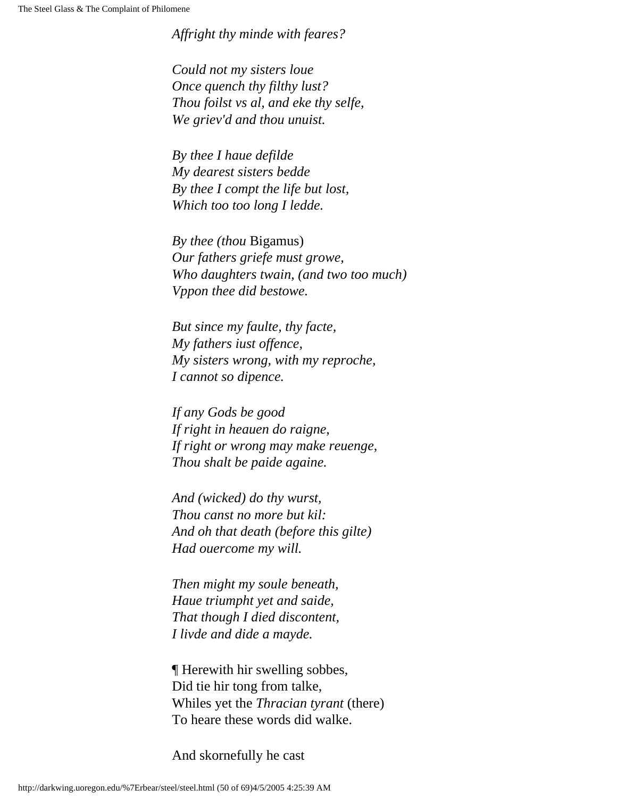*Affright thy minde with feares?*

*Could not my sisters loue Once quench thy filthy lust? Thou foilst vs al, and eke thy selfe, We griev'd and thou unuist.*

*By thee I haue defilde My dearest sisters bedde By thee I compt the life but lost, Which too too long I ledde.*

*By thee (thou* Bigamus) *Our fathers griefe must growe, Who daughters twain, (and two too much) Vppon thee did bestowe.*

*But since my faulte, thy facte, My fathers iust offence, My sisters wrong, with my reproche, I cannot so dipence.*

*If any Gods be good If right in heauen do raigne, If right or wrong may make reuenge, Thou shalt be paide againe.*

*And (wicked) do thy wurst, Thou canst no more but kil: And oh that death (before this gilte) Had ouercome my will.*

*Then might my soule beneath, Haue triumpht yet and saide, That though I died discontent, I livde and dide a mayde.*

¶ Herewith hir swelling sobbes, Did tie hir tong from talke, Whiles yet the *Thracian tyrant* (there) To heare these words did walke.

And skornefully he cast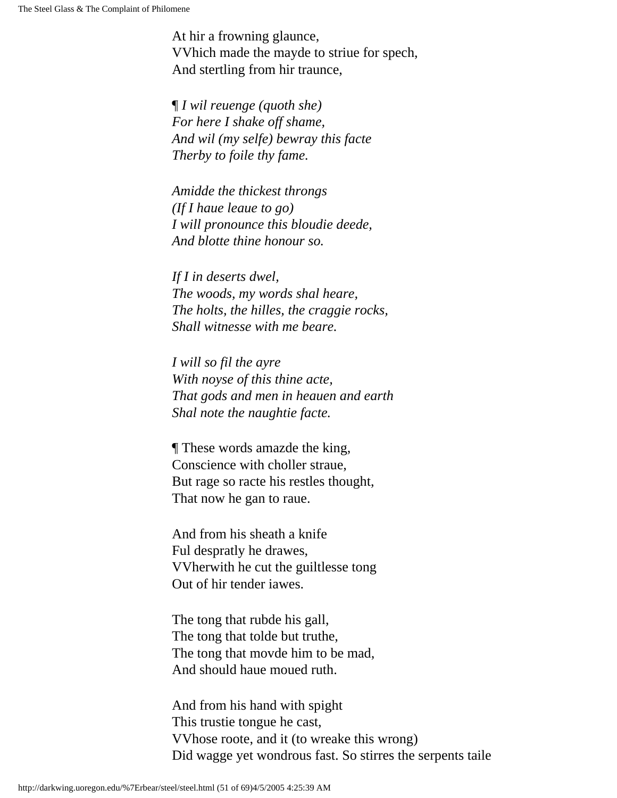At hir a frowning glaunce, VVhich made the mayde to striue for spech, And stertling from hir traunce,

¶ *I wil reuenge (quoth she) For here I shake off shame, And wil (my selfe) bewray this facte Therby to foile thy fame.*

*Amidde the thickest throngs (If I haue leaue to go) I will pronounce this bloudie deede, And blotte thine honour so.*

*If I in deserts dwel, The woods, my words shal heare, The holts, the hilles, the craggie rocks, Shall witnesse with me beare.*

*I will so fil the ayre With noyse of this thine acte, That gods and men in heauen and earth Shal note the naughtie facte.*

¶ These words amazde the king, Conscience with choller straue, But rage so racte his restles thought, That now he gan to raue.

And from his sheath a knife Ful despratly he drawes, VVherwith he cut the guiltlesse tong Out of hir tender iawes.

The tong that rubde his gall, The tong that tolde but truthe, The tong that movde him to be mad, And should haue moued ruth.

And from his hand with spight This trustie tongue he cast, VVhose roote, and it (to wreake this wrong) Did wagge yet wondrous fast. So stirres the serpents taile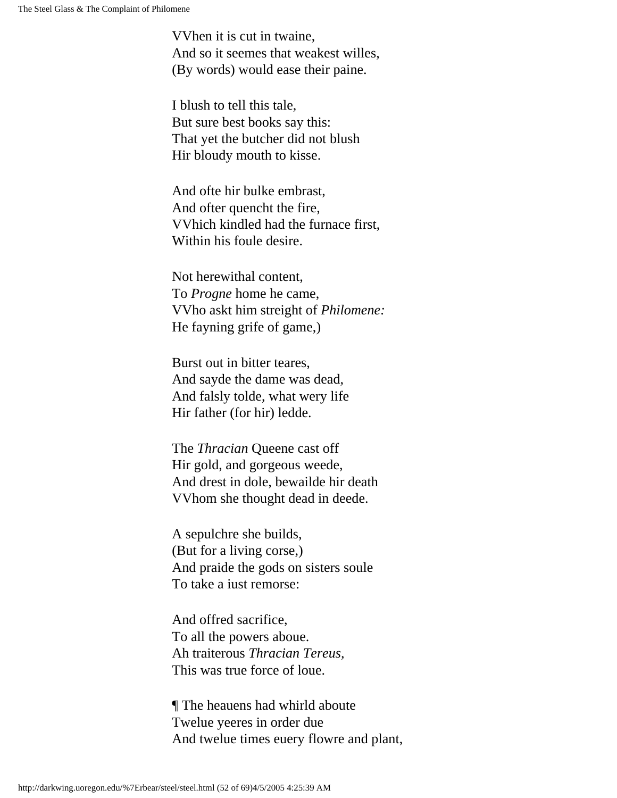VVhen it is cut in twaine, And so it seemes that weakest willes, (By words) would ease their paine.

I blush to tell this tale, But sure best books say this: That yet the butcher did not blush Hir bloudy mouth to kisse.

And ofte hir bulke embrast, And ofter quencht the fire, VVhich kindled had the furnace first, Within his foule desire.

Not herewithal content, To *Progne* home he came, VVho askt him streight of *Philomene:* He fayning grife of game,)

Burst out in bitter teares, And sayde the dame was dead, And falsly tolde, what wery life Hir father (for hir) ledde.

The *Thracian* Queene cast off Hir gold, and gorgeous weede, And drest in dole, bewailde hir death VVhom she thought dead in deede.

A sepulchre she builds, (But for a living corse,) And praide the gods on sisters soule To take a iust remorse:

And offred sacrifice, To all the powers aboue. Ah traiterous *Thracian Tereus,* This was true force of loue.

¶ The heauens had whirld aboute Twelue yeeres in order due And twelue times euery flowre and plant,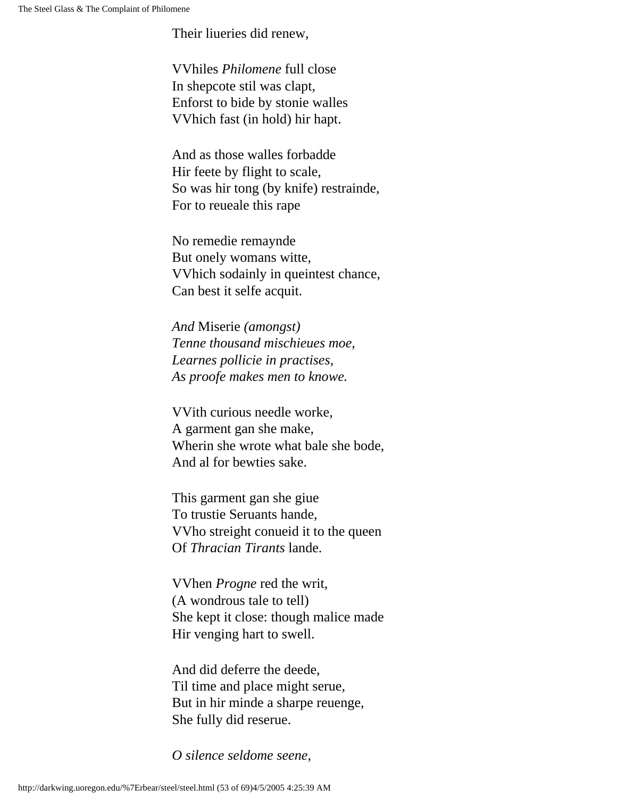Their liueries did renew,

VVhiles *Philomene* full close In shepcote stil was clapt, Enforst to bide by stonie walles VVhich fast (in hold) hir hapt.

And as those walles forbadde Hir feete by flight to scale, So was hir tong (by knife) restrainde, For to reueale this rape

No remedie remaynde But onely womans witte, VVhich sodainly in queintest chance, Can best it selfe acquit.

*And* Miserie *(amongst) Tenne thousand mischieues moe, Learnes pollicie in practises, As proofe makes men to knowe.*

VVith curious needle worke, A garment gan she make, Wherin she wrote what bale she bode, And al for bewties sake.

This garment gan she giue To trustie Seruants hande, VVho streight conueid it to the queen Of *Thracian Tirants* lande.

VVhen *Progne* red the writ, (A wondrous tale to tell) She kept it close: though malice made Hir venging hart to swell.

And did deferre the deede, Til time and place might serue, But in hir minde a sharpe reuenge, She fully did reserue.

*O silence seldome seene,*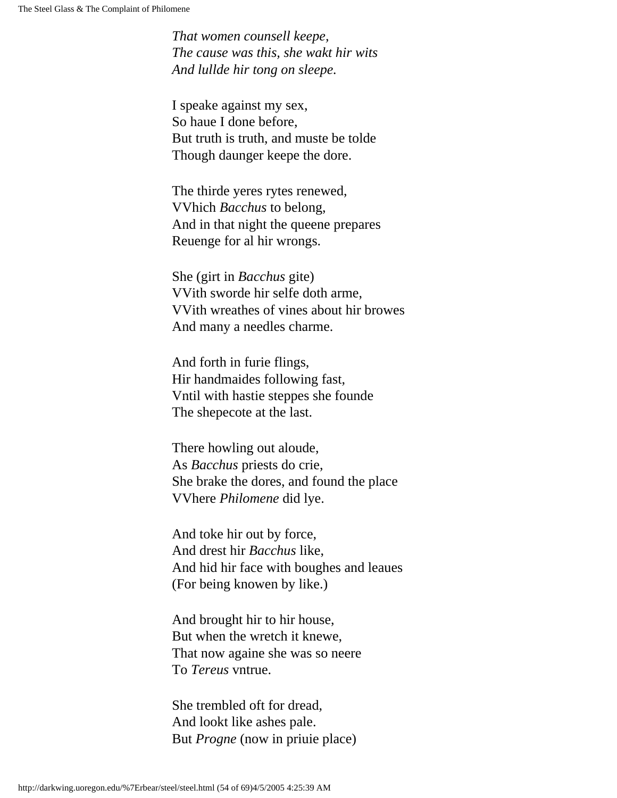*That women counsell keepe, The cause was this, she wakt hir wits And lullde hir tong on sleepe.*

I speake against my sex, So haue I done before, But truth is truth, and muste be tolde Though daunger keepe the dore.

The thirde yeres rytes renewed, VVhich *Bacchus* to belong, And in that night the queene prepares Reuenge for al hir wrongs.

She (girt in *Bacchus* gite) VVith sworde hir selfe doth arme, VVith wreathes of vines about hir browes And many a needles charme.

And forth in furie flings, Hir handmaides following fast, Vntil with hastie steppes she founde The shepecote at the last.

There howling out aloude, As *Bacchus* priests do crie, She brake the dores, and found the place VVhere *Philomene* did lye.

And toke hir out by force, And drest hir *Bacchus* like, And hid hir face with boughes and leaues (For being knowen by like.)

And brought hir to hir house, But when the wretch it knewe, That now againe she was so neere To *Tereus* vntrue.

She trembled oft for dread, And lookt like ashes pale. But *Progne* (now in priuie place)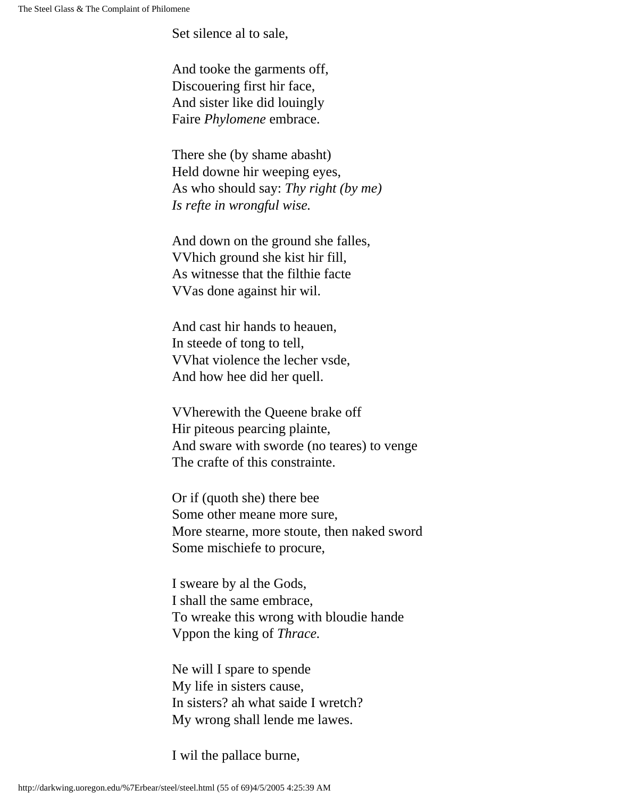Set silence al to sale,

And tooke the garments off, Discouering first hir face, And sister like did louingly Faire *Phylomene* embrace.

There she (by shame abasht) Held downe hir weeping eyes, As who should say: *Thy right (by me) Is refte in wrongful wise.*

And down on the ground she falles, VVhich ground she kist hir fill, As witnesse that the filthie facte VVas done against hir wil.

And cast hir hands to heauen, In steede of tong to tell, VVhat violence the lecher vsde, And how hee did her quell.

VVherewith the Queene brake off Hir piteous pearcing plainte, And sware with sworde (no teares) to venge The crafte of this constrainte.

Or if (quoth she) there bee Some other meane more sure, More stearne, more stoute, then naked sword Some mischiefe to procure,

I sweare by al the Gods, I shall the same embrace, To wreake this wrong with bloudie hande Vppon the king of *Thrace.*

Ne will I spare to spende My life in sisters cause, In sisters? ah what saide I wretch? My wrong shall lende me lawes.

I wil the pallace burne,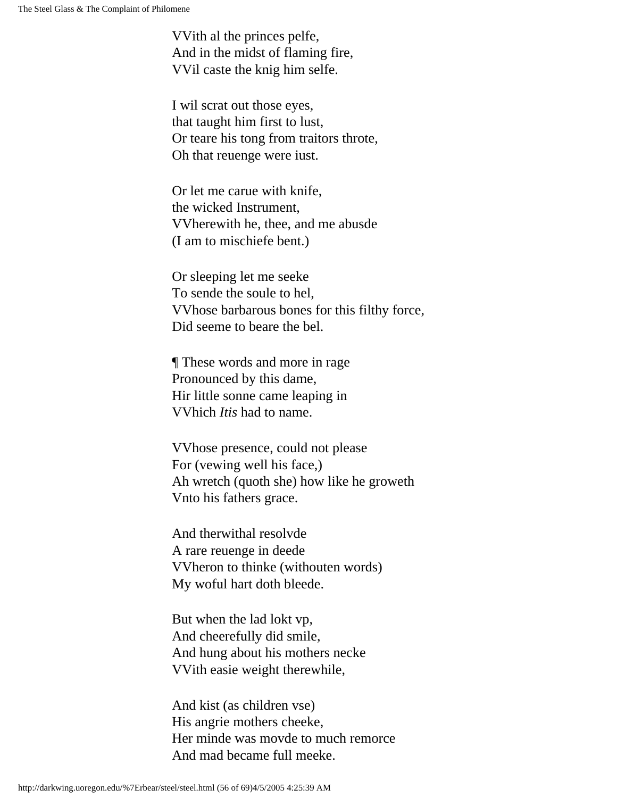VVith al the princes pelfe, And in the midst of flaming fire, VVil caste the knig him selfe.

I wil scrat out those eyes, that taught him first to lust, Or teare his tong from traitors throte, Oh that reuenge were iust.

Or let me carue with knife, the wicked Instrument, VVherewith he, thee, and me abusde (I am to mischiefe bent.)

Or sleeping let me seeke To sende the soule to hel, VVhose barbarous bones for this filthy force, Did seeme to beare the bel.

¶ These words and more in rage Pronounced by this dame, Hir little sonne came leaping in VVhich *Itis* had to name.

VVhose presence, could not please For (vewing well his face,) Ah wretch (quoth she) how like he groweth Vnto his fathers grace.

And therwithal resolvde A rare reuenge in deede VVheron to thinke (withouten words) My woful hart doth bleede.

But when the lad lokt vp, And cheerefully did smile, And hung about his mothers necke VVith easie weight therewhile,

And kist (as children vse) His angrie mothers cheeke, Her minde was movde to much remorce And mad became full meeke.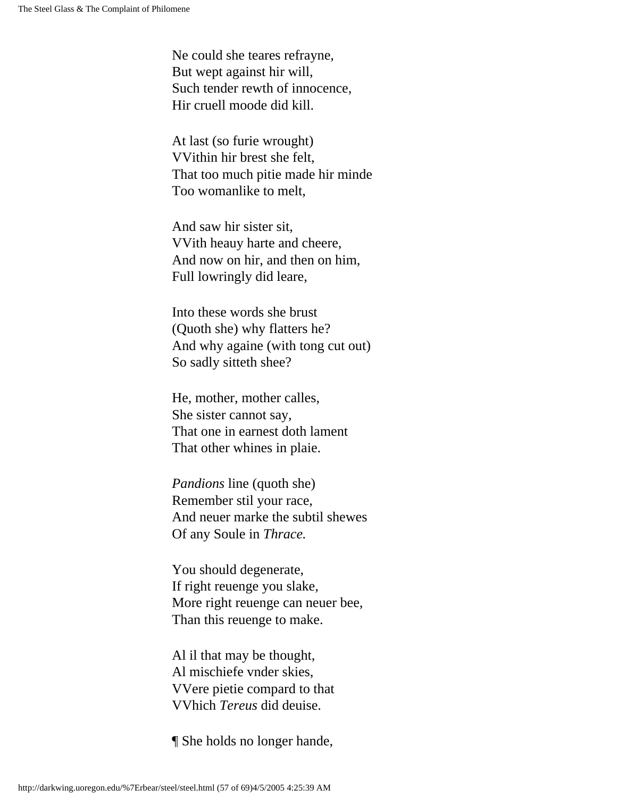Ne could she teares refrayne, But wept against hir will, Such tender rewth of innocence, Hir cruell moode did kill.

At last (so furie wrought) VVithin hir brest she felt, That too much pitie made hir minde Too womanlike to melt,

And saw hir sister sit, VVith heauy harte and cheere, And now on hir, and then on him, Full lowringly did leare,

Into these words she brust (Quoth she) why flatters he? And why againe (with tong cut out) So sadly sitteth shee?

He, mother, mother calles, She sister cannot say, That one in earnest doth lament That other whines in plaie.

*Pandions* line (quoth she) Remember stil your race, And neuer marke the subtil shewes Of any Soule in *Thrace.*

You should degenerate, If right reuenge you slake, More right reuenge can neuer bee, Than this reuenge to make.

Al il that may be thought, Al mischiefe vnder skies, VVere pietie compard to that VVhich *Tereus* did deuise.

¶ She holds no longer hande,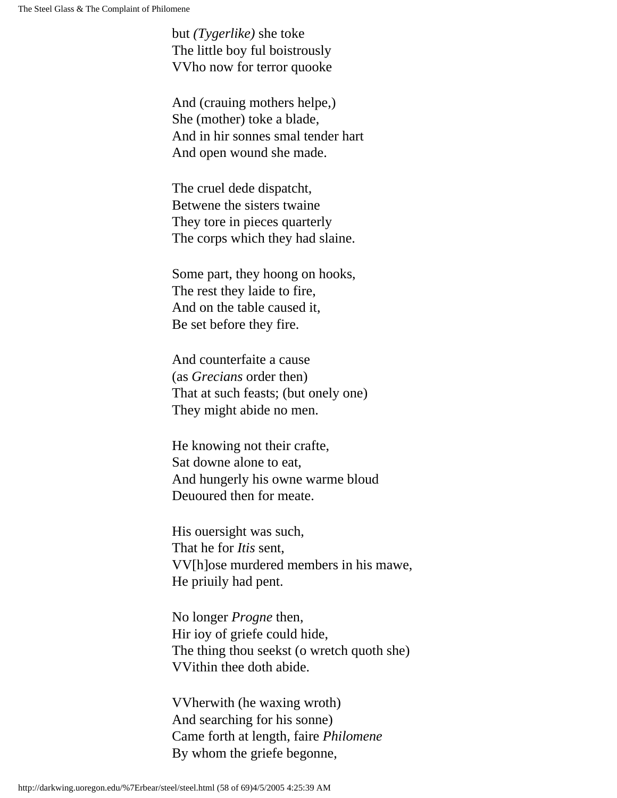but *(Tygerlike)* she toke The little boy ful boistrously VVho now for terror quooke

And (crauing mothers helpe,) She (mother) toke a blade, And in hir sonnes smal tender hart And open wound she made.

The cruel dede dispatcht, Betwene the sisters twaine They tore in pieces quarterly The corps which they had slaine.

Some part, they hoong on hooks, The rest they laide to fire, And on the table caused it, Be set before they fire.

And counterfaite a cause (as *Grecians* order then) That at such feasts; (but onely one) They might abide no men.

He knowing not their crafte, Sat downe alone to eat, And hungerly his owne warme bloud Deuoured then for meate.

His ouersight was such, That he for *Itis* sent, VV[h]ose murdered members in his mawe, He priuily had pent.

No longer *Progne* then, Hir ioy of griefe could hide, The thing thou seekst (o wretch quoth she) VVithin thee doth abide.

VVherwith (he waxing wroth) And searching for his sonne) Came forth at length, faire *Philomene* By whom the griefe begonne,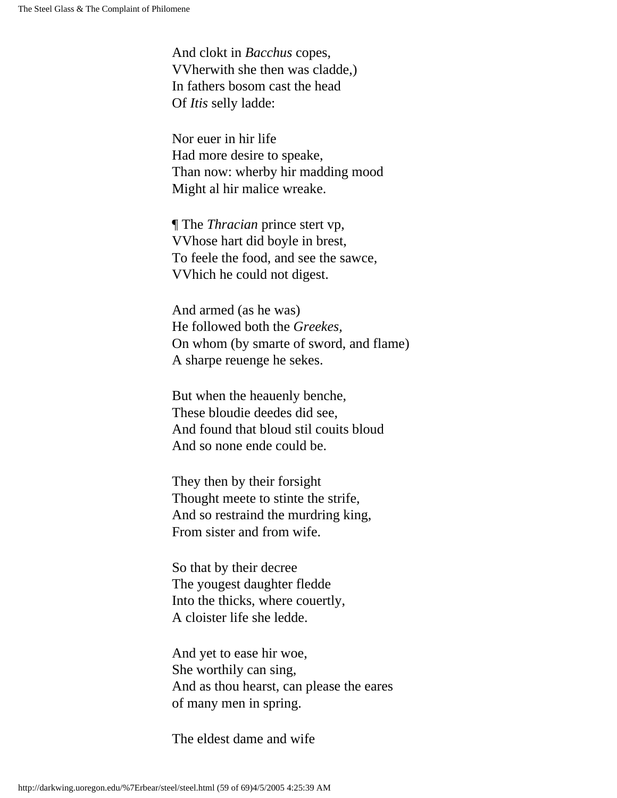And clokt in *Bacchus* copes, VVherwith she then was cladde,) In fathers bosom cast the head Of *Itis* selly ladde:

Nor euer in hir life Had more desire to speake, Than now: wherby hir madding mood Might al hir malice wreake.

¶ The *Thracian* prince stert vp, VVhose hart did boyle in brest, To feele the food, and see the sawce, VVhich he could not digest.

And armed (as he was) He followed both the *Greekes,* On whom (by smarte of sword, and flame) A sharpe reuenge he sekes.

But when the heauenly benche, These bloudie deedes did see, And found that bloud stil couits bloud And so none ende could be.

They then by their forsight Thought meete to stinte the strife, And so restraind the murdring king, From sister and from wife.

So that by their decree The yougest daughter fledde Into the thicks, where couertly, A cloister life she ledde.

And yet to ease hir woe, She worthily can sing, And as thou hearst, can please the eares of many men in spring.

The eldest dame and wife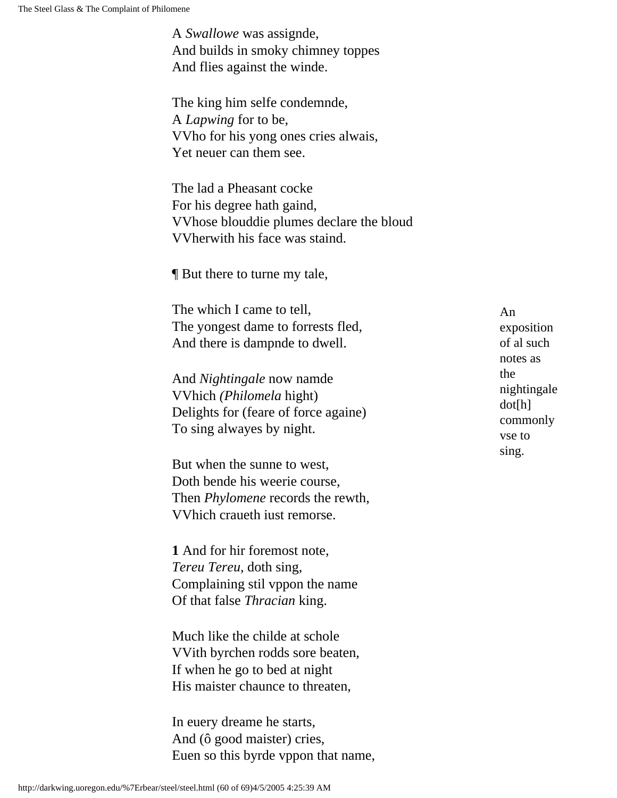A *Swallowe* was assignde, And builds in smoky chimney toppes And flies against the winde.

The king him selfe condemnde, A *Lapwing* for to be, VVho for his yong ones cries alwais, Yet neuer can them see.

The lad a Pheasant cocke For his degree hath gaind, VVhose blouddie plumes declare the bloud VVherwith his face was staind.

¶ But there to turne my tale,

The which I came to tell, The yongest dame to forrests fled, And there is dampnde to dwell.

And *Nightingale* now namde VVhich *(Philomela* hight) Delights for (feare of force againe) To sing alwayes by night.

But when the sunne to west, Doth bende his weerie course, Then *Phylomene* records the rewth, VVhich craueth iust remorse.

**1** And for hir foremost note, *Tereu Tereu,* doth sing, Complaining stil vppon the name Of that false *Thracian* king.

Much like the childe at schole VVith byrchen rodds sore beaten, If when he go to bed at night His maister chaunce to threaten,

In euery dreame he starts, And (ô good maister) cries, Euen so this byrde vppon that name, An exposition of al such notes as the nightingale dot[h] commonly vse to sing.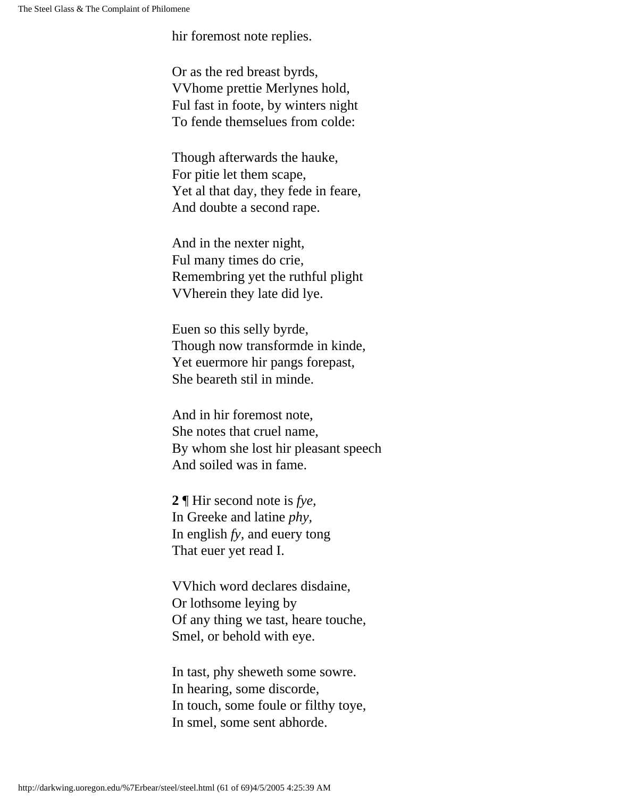hir foremost note replies.

Or as the red breast byrds, VVhome prettie Merlynes hold, Ful fast in foote, by winters night To fende themselues from colde:

Though afterwards the hauke, For pitie let them scape, Yet al that day, they fede in feare, And doubte a second rape.

And in the nexter night, Ful many times do crie, Remembring yet the ruthful plight VVherein they late did lye.

Euen so this selly byrde, Though now transformde in kinde, Yet euermore hir pangs forepast, She beareth stil in minde.

And in hir foremost note, She notes that cruel name, By whom she lost hir pleasant speech And soiled was in fame.

**2** ¶ Hir second note is *fye,* In Greeke and latine *phy,* In english *fy,* and euery tong That euer yet read I.

VVhich word declares disdaine, Or lothsome leying by Of any thing we tast, heare touche, Smel, or behold with eye.

In tast, phy sheweth some sowre. In hearing, some discorde, In touch, some foule or filthy toye, In smel, some sent abhorde.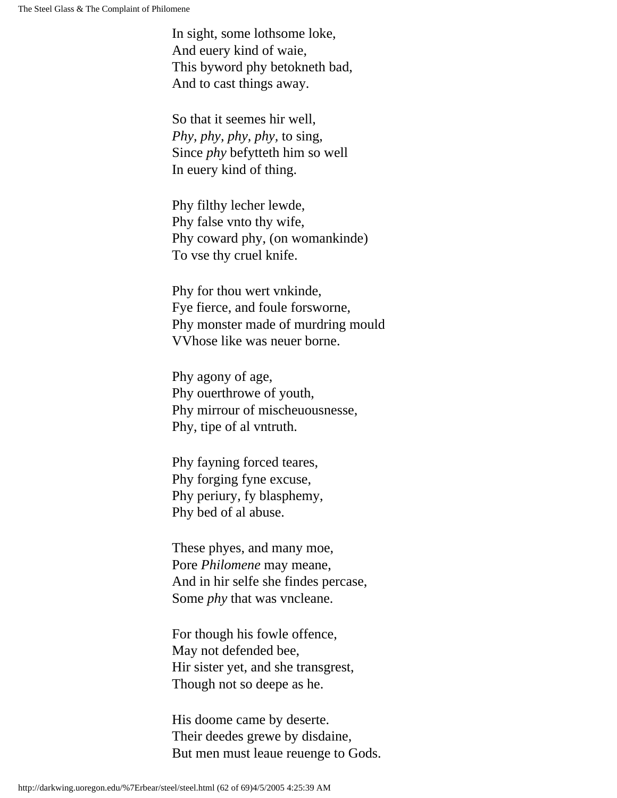In sight, some lothsome loke, And euery kind of waie, This byword phy betokneth bad, And to cast things away.

So that it seemes hir well, *Phy, phy, phy, phy,* to sing, Since *phy* befytteth him so well In euery kind of thing.

Phy filthy lecher lewde, Phy false vnto thy wife, Phy coward phy, (on womankinde) To vse thy cruel knife.

Phy for thou wert vnkinde, Fye fierce, and foule forsworne, Phy monster made of murdring mould VVhose like was neuer borne.

Phy agony of age, Phy ouerthrowe of youth, Phy mirrour of mischeuousnesse, Phy, tipe of al vntruth.

Phy fayning forced teares, Phy forging fyne excuse, Phy periury, fy blasphemy, Phy bed of al abuse.

These phyes, and many moe, Pore *Philomene* may meane, And in hir selfe she findes percase, Some *phy* that was vncleane.

For though his fowle offence, May not defended bee, Hir sister yet, and she transgrest, Though not so deepe as he.

His doome came by deserte. Their deedes grewe by disdaine, But men must leaue reuenge to Gods.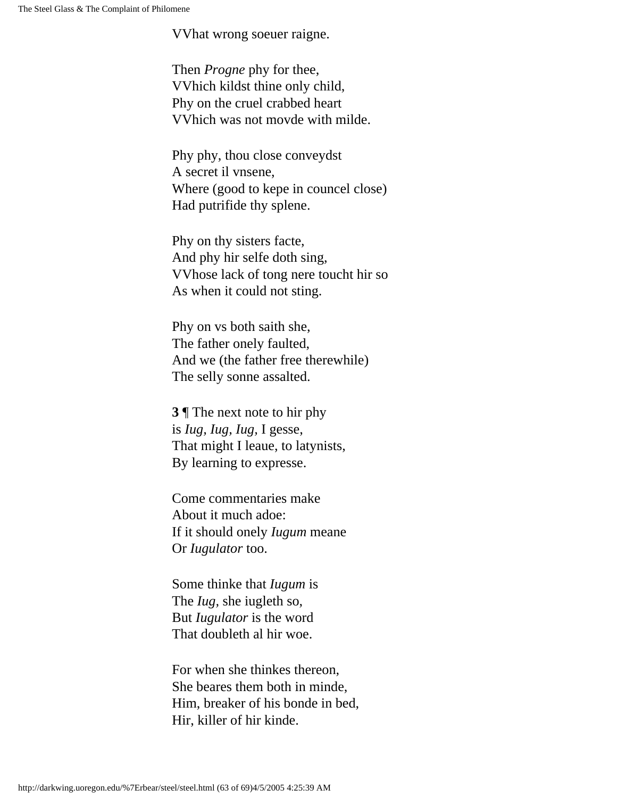VVhat wrong soeuer raigne.

Then *Progne* phy for thee, VVhich kildst thine only child, Phy on the cruel crabbed heart VVhich was not movde with milde.

Phy phy, thou close conveydst A secret il vnsene, Where (good to kepe in councel close) Had putrifide thy splene.

Phy on thy sisters facte, And phy hir selfe doth sing, VVhose lack of tong nere toucht hir so As when it could not sting.

Phy on vs both saith she, The father onely faulted, And we (the father free therewhile) The selly sonne assalted.

**3** ¶ The next note to hir phy is *Iug, Iug, Iug,* I gesse, That might I leaue, to latynists, By learning to expresse.

Come commentaries make About it much adoe: If it should onely *Iugum* meane Or *Iugulator* too.

Some thinke that *Iugum* is The *Iug,* she iugleth so, But *Iugulator* is the word That doubleth al hir woe.

For when she thinkes thereon, She beares them both in minde, Him, breaker of his bonde in bed, Hir, killer of hir kinde.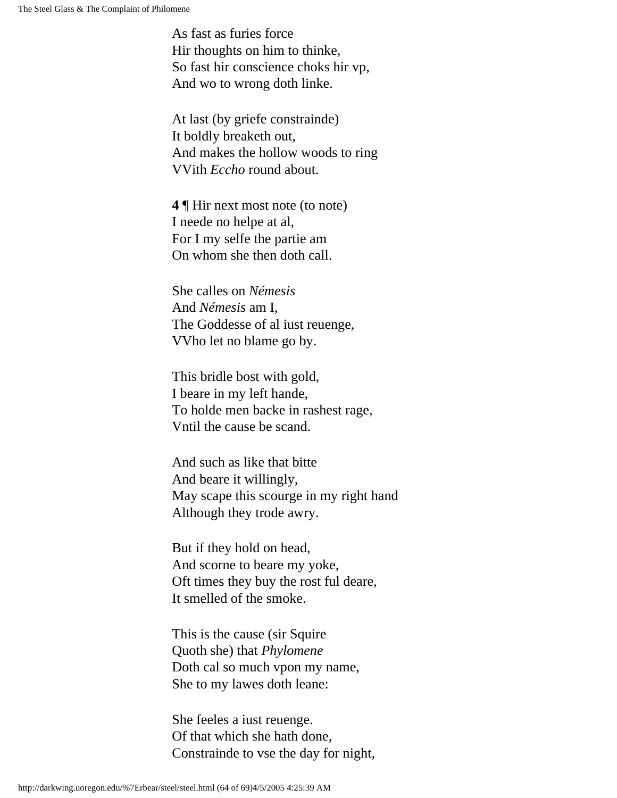As fast as furies force Hir thoughts on him to thinke, So fast hir conscience choks hir vp, And wo to wrong doth linke.

At last (by griefe constrainde) It boldly breaketh out, And makes the hollow woods to ring VVith *Eccho* round about.

**4** ¶ Hir next most note (to note) I neede no helpe at al, For I my selfe the partie am On whom she then doth call.

She calles on *Némesis*  And *Némesis* am I, The Goddesse of al iust reuenge, VVho let no blame go by.

This bridle bost with gold, I beare in my left hande, To holde men backe in rashest rage, Vntil the cause be scand.

And such as like that bitte And beare it willingly, May scape this scourge in my right hand Although they trode awry.

But if they hold on head, And scorne to beare my yoke, Oft times they buy the rost ful deare, It smelled of the smoke.

This is the cause (sir Squire Quoth she) that *Phylomene* Doth cal so much vpon my name, She to my lawes doth leane:

She feeles a iust reuenge. Of that which she hath done, Constrainde to vse the day for night,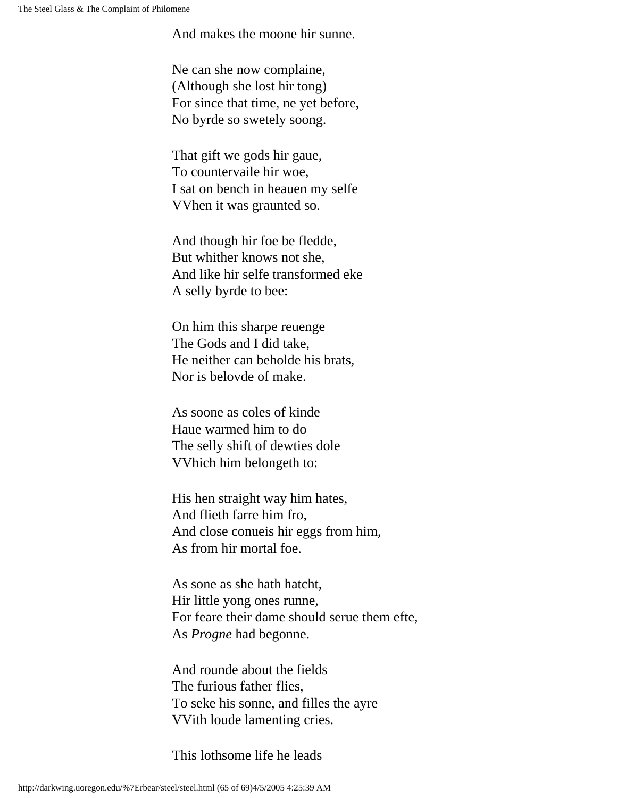And makes the moone hir sunne.

Ne can she now complaine, (Although she lost hir tong) For since that time, ne yet before, No byrde so swetely soong.

That gift we gods hir gaue, To countervaile hir woe, I sat on bench in heauen my selfe VVhen it was graunted so.

And though hir foe be fledde, But whither knows not she, And like hir selfe transformed eke A selly byrde to bee:

On him this sharpe reuenge The Gods and I did take, He neither can beholde his brats, Nor is belovde of make.

As soone as coles of kinde Haue warmed him to do The selly shift of dewties dole VVhich him belongeth to:

His hen straight way him hates, And flieth farre him fro, And close conueis hir eggs from him, As from hir mortal foe.

As sone as she hath hatcht, Hir little yong ones runne, For feare their dame should serue them efte, As *Progne* had begonne.

And rounde about the fields The furious father flies, To seke his sonne, and filles the ayre VVith loude lamenting cries.

This lothsome life he leads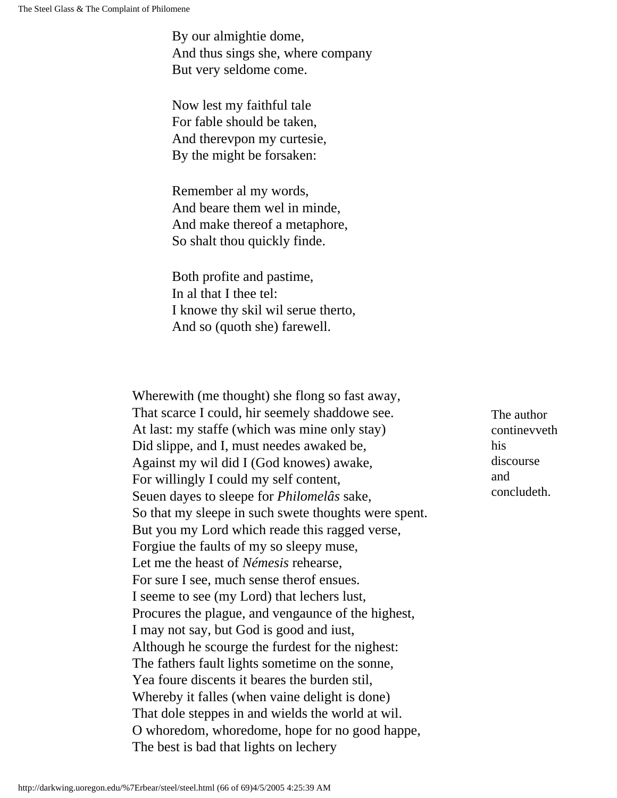By our almightie dome, And thus sings she, where company But very seldome come.

Now lest my faithful tale For fable should be taken, And therevpon my curtesie, By the might be forsaken:

Remember al my words, And beare them wel in minde, And make thereof a metaphore, So shalt thou quickly finde.

Both profite and pastime, In al that I thee tel: I knowe thy skil wil serue therto, And so (quoth she) farewell.

Wherewith (me thought) she flong so fast away, That scarce I could, hir seemely shaddowe see. At last: my staffe (which was mine only stay) Did slippe, and I, must needes awaked be, Against my wil did I (God knowes) awake, For willingly I could my self content, Seuen dayes to sleepe for *Philomelâs* sake, So that my sleepe in such swete thoughts were spent. But you my Lord which reade this ragged verse, Forgiue the faults of my so sleepy muse, Let me the heast of *Némesis* rehearse, For sure I see, much sense therof ensues. I seeme to see (my Lord) that lechers lust, Procures the plague, and vengaunce of the highest, I may not say, but God is good and iust, Although he scourge the furdest for the nighest: The fathers fault lights sometime on the sonne, Yea foure discents it beares the burden stil, Whereby it falles (when vaine delight is done) That dole steppes in and wields the world at wil. O whoredom, whoredome, hope for no good happe, The best is bad that lights on lechery

The author continevveth his discourse and concludeth.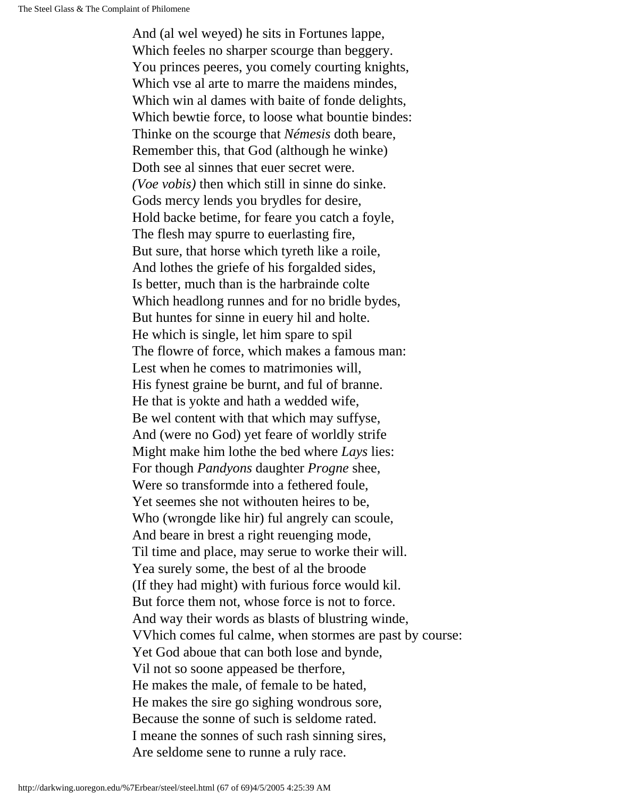And (al wel weyed) he sits in Fortunes lappe, Which feeles no sharper scourge than beggery. You princes peeres, you comely courting knights, Which vse al arte to marre the maidens mindes, Which win al dames with baite of fonde delights, Which bewtie force, to loose what bountie bindes: Thinke on the scourge that *Némesis* doth beare, Remember this, that God (although he winke) Doth see al sinnes that euer secret were. *(Voe vobis)* then which still in sinne do sinke. Gods mercy lends you brydles for desire, Hold backe betime, for feare you catch a foyle, The flesh may spurre to euerlasting fire, But sure, that horse which tyreth like a roile, And lothes the griefe of his forgalded sides, Is better, much than is the harbrainde colte Which headlong runnes and for no bridle bydes, But huntes for sinne in euery hil and holte. He which is single, let him spare to spil The flowre of force, which makes a famous man: Lest when he comes to matrimonies will, His fynest graine be burnt, and ful of branne. He that is yokte and hath a wedded wife, Be wel content with that which may suffyse, And (were no God) yet feare of worldly strife Might make him lothe the bed where *Lays* lies: For though *Pandyons* daughter *Progne* shee, Were so transformde into a fethered foule, Yet seemes she not withouten heires to be, Who (wrongde like hir) ful angrely can scoule, And beare in brest a right reuenging mode, Til time and place, may serue to worke their will. Yea surely some, the best of al the broode (If they had might) with furious force would kil. But force them not, whose force is not to force. And way their words as blasts of blustring winde, VVhich comes ful calme, when stormes are past by course: Yet God aboue that can both lose and bynde, Vil not so soone appeased be therfore, He makes the male, of female to be hated, He makes the sire go sighing wondrous sore, Because the sonne of such is seldome rated. I meane the sonnes of such rash sinning sires, Are seldome sene to runne a ruly race.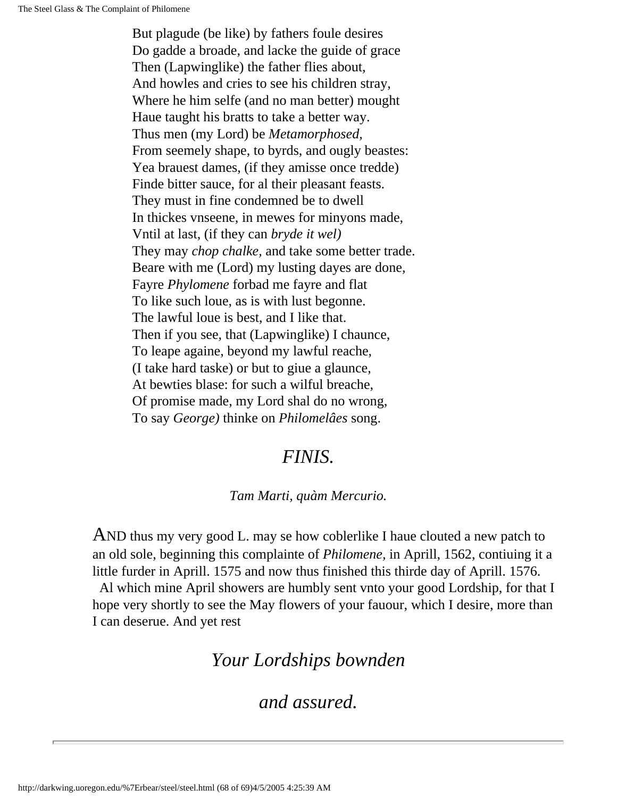But plagude (be like) by fathers foule desires Do gadde a broade, and lacke the guide of grace Then (Lapwinglike) the father flies about, And howles and cries to see his children stray, Where he him selfe (and no man better) mought Haue taught his bratts to take a better way. Thus men (my Lord) be *Metamorphosed,* From seemely shape, to byrds, and ougly beastes: Yea brauest dames, (if they amisse once tredde) Finde bitter sauce, for al their pleasant feasts. They must in fine condemned be to dwell In thickes vnseene, in mewes for minyons made, Vntil at last, (if they can *bryde it wel)* They may *chop chalke,* and take some better trade. Beare with me (Lord) my lusting dayes are done, Fayre *Phylomene* forbad me fayre and flat To like such loue, as is with lust begonne. The lawful loue is best, and I like that. Then if you see, that (Lapwinglike) I chaunce, To leape againe, beyond my lawful reache, (I take hard taske) or but to giue a glaunce, At bewties blase: for such a wilful breache, Of promise made, my Lord shal do no wrong, To say *George)* thinke on *Philomelâes* song.

#### *FINIS.*

#### *Tam Marti, quàm Mercurio.*

AND thus my very good L. may se how coblerlike I haue clouted a new patch to an old sole, beginning this complainte of *Philomene,* in Aprill, 1562, contiuing it a little furder in Aprill. 1575 and now thus finished this thirde day of Aprill. 1576.

 Al which mine April showers are humbly sent vnto your good Lordship, for that I hope very shortly to see the May flowers of your fauour, which I desire, more than I can deserue. And yet rest

### *Your Lordships bownden*

#### *and assured.*